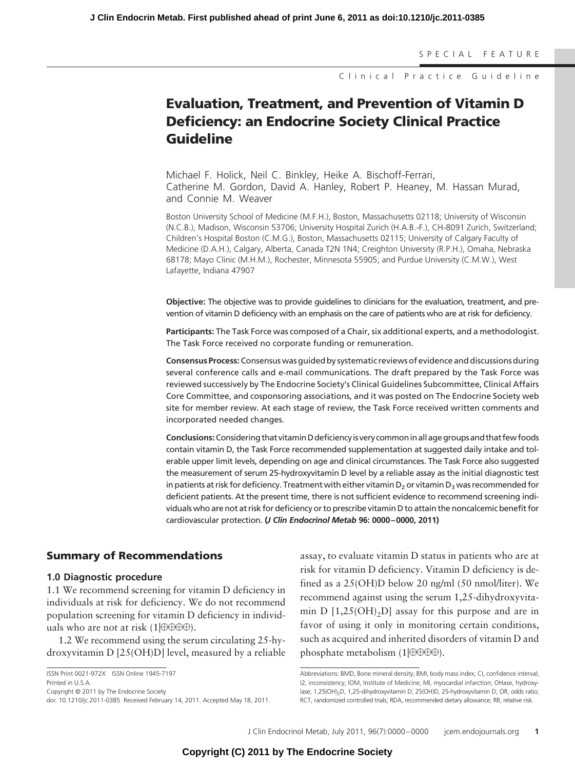SPECIAL FEATURE

Clinical Practice Guideline

# **Evaluation, Treatment, and Prevention of Vitamin D Deficiency: an Endocrine Society Clinical Practice Guideline**

Michael F. Holick, Neil C. Binkley, Heike A. Bischoff-Ferrari, Catherine M. Gordon, David A. Hanley, Robert P. Heaney, M. Hassan Murad, and Connie M. Weaver

Boston University School of Medicine (M.F.H.), Boston, Massachusetts 02118; University of Wisconsin (N.C.B.), Madison, Wisconsin 53706; University Hospital Zurich (H.A.B.-F.), CH-8091 Zurich, Switzerland; Children's Hospital Boston (C.M.G.), Boston, Massachusetts 02115; University of Calgary Faculty of Medicine (D.A.H.), Calgary, Alberta, Canada T2N 1N4; Creighton University (R.P.H.), Omaha, Nebraska 68178; Mayo Clinic (M.H.M.), Rochester, Minnesota 55905; and Purdue University (C.M.W.), West Lafayette, Indiana 47907

**Objective:** The objective was to provide guidelines to clinicians for the evaluation, treatment, and prevention of vitamin D deficiency with an emphasis on the care of patients who are at risk for deficiency.

**Participants:** The Task Force was composed of a Chair, six additional experts, and a methodologist. The Task Force received no corporate funding or remuneration.

**Consensus Process:**Consensus was guided by systematic reviews of evidence and discussions during several conference calls and e-mail communications. The draft prepared by the Task Force was reviewed successively by The Endocrine Society's Clinical Guidelines Subcommittee, Clinical Affairs Core Committee, and cosponsoring associations, and it was posted on The Endocrine Society web site for member review. At each stage of review, the Task Force received written comments and incorporated needed changes.

**Conclusions:**Considering that vitaminDdeficiencyis very commonin all agegroups and that few foods contain vitamin D, the Task Force recommended supplementation at suggested daily intake and tolerable upper limit levels, depending on age and clinical circumstances. The Task Force also suggested the measurement of serum 25-hydroxyvitamin D level by a reliable assay as the initial diagnostic test in patients at risk for deficiency. Treatment with either vitamin  $D_2$  or vitamin  $D_3$  was recommended for deficient patients. At the present time, there is not sufficient evidence to recommend screening individuals who are not at risk for deficiency or to prescribe vitamin D to attain the noncalcemic benefit for cardiovascular protection. **(***J Clin Endocrinol Metab* **96: 0000 –0000, 2011)**

## **Summary of Recommendations**

## **1.0 Diagnostic procedure**

1.1 We recommend screening for vitamin D deficiency in individuals at risk for deficiency. We do not recommend population screening for vitamin D deficiency in individuals who are not at risk  $(1|\theta \theta \theta \theta)$ .

1.2 We recommend using the serum circulating 25-hydroxyvitamin D [25(OH)D] level, measured by a reliable

ISSN Print 0021-972X ISSN Online 1945-7197 Printed in U.S.A.

Copyright © 2011 by The Endocrine Society

assay, to evaluate vitamin D status in patients who are at risk for vitamin D deficiency. Vitamin D deficiency is defined as a 25(OH)D below 20 ng/ml (50 nmol/liter). We recommend against using the serum 1,25-dihydroxyvitamin D  $[1,25(OH),D]$  assay for this purpose and are in favor of using it only in monitoring certain conditions, such as acquired and inherited disorders of vitamin D and phosphate metabolism  $(1|\oplus\oplus\oplus\oplus)$ .

doi: 10.1210/jc.2011-0385 Received February 14, 2011. Accepted May 18, 2011.

Abbreviations: BMD, Bone mineral density; BMI, body mass index; CI, confidence interval; I2, inconsistency; IOM, Institute of Medicine; MI, myocardial infarction; OHase, hydroxylase; 1,25(OH)<sub>2</sub>D, 1,25-dihydroxyvitamin D; 25(OH)D, 25-hydroxyvitamin D; OR, odds ratio; RCT, randomized controlled trials; RDA, recommended dietary allowance; RR, relative risk.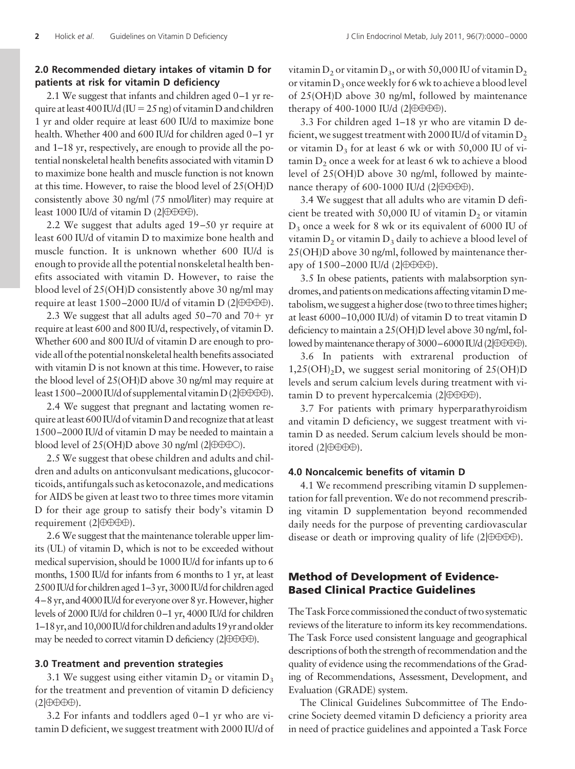## **2.0 Recommended dietary intakes of vitamin D for patients at risk for vitamin D deficiency**

2.1 We suggest that infants and children aged  $0-1$  yr require at least 400 IU/d (IU =  $25$  ng) of vitamin D and children 1 yr and older require at least 600 IU/d to maximize bone health. Whether 400 and 600 IU/d for children aged 0-1 yr and 1–18 yr, respectively, are enough to provide all the potential nonskeletal health benefits associated with vitamin D to maximize bone health and muscle function is not known at this time. However, to raise the blood level of 25(OH)D consistently above 30 ng/ml (75 nmol/liter) may require at least 1000 IU/d of vitamin D (2|OOOO).

2.2 We suggest that adults aged 19 –50 yr require at least 600 IU/d of vitamin D to maximize bone health and muscle function. It is unknown whether 600 IU/d is enough to provide all the potential nonskeletal health benefits associated with vitamin D. However, to raise the blood level of 25(OH)D consistently above 30 ng/ml may require at least  $1500 - 2000$  IU/d of vitamin D (2 $\oplus \oplus \oplus \oplus$ ).

2.3 We suggest that all adults aged 50 –70 and 70- yr require at least 600 and 800 IU/d, respectively, of vitamin D. Whether 600 and 800 IU/d of vitamin D are enough to provide all of the potential nonskeletal health benefits associated with vitamin D is not known at this time. However, to raise the blood level of 25(OH)D above 30 ng/ml may require at least 1500–2000 IU/d of supplemental vitamin D (2 $\ket{\oplus \oplus \oplus \oplus}$ ).

2.4 We suggest that pregnant and lactating women require atleast 600 IU/d of vitaminD and recognize that atleast 1500 –2000 IU/d of vitamin D may be needed to maintain a blood level of  $25(OH)D$  above 30 ng/ml ( $2|\theta\theta\theta\phi\rangle$ ).

2.5 We suggest that obese children and adults and children and adults on anticonvulsant medications, glucocorticoids, antifungals such as ketoconazole, and medications for AIDS be given at least two to three times more vitamin D for their age group to satisfy their body's vitamin D requirement ( $2|\oplus\oplus\oplus\oplus\rangle$ .

2.6 We suggest that the maintenance tolerable upper limits (UL) of vitamin D, which is not to be exceeded without medical supervision, should be 1000 IU/d for infants up to 6 months, 1500 IU/d for infants from 6 months to 1 yr, at least 2500 IU/d for children aged 1–3 yr, 3000 IU/d for children aged 4–8 yr, and 4000 IU/d for everyone over 8 yr.However, higher levels of 2000 IU/d for children 0–1 yr, 4000 IU/d for children 1–18 yr, and 10,000 IU/d for children and adults 19 yr and older may be needed to correct vitamin D deficiency  $(2|\text{D}\text{D}\text{D}\text{D})$ .

#### **3.0 Treatment and prevention strategies**

3.1 We suggest using either vitamin  $D_2$  or vitamin  $D_3$ for the treatment and prevention of vitamin D deficiency  $(2|\theta\theta\theta\theta).$ 

3.2 For infants and toddlers aged  $0-1$  yr who are vitamin D deficient, we suggest treatment with 2000 IU/d of

vitamin  $D_2$  or vitamin  $D_3$ , or with 50,000 IU of vitamin  $D_2$ or vitamin  $D_3$  once weekly for 6 wk to achieve a blood level of 25(OH)D above 30 ng/ml, followed by maintenance therapy of 400-1000 IU/d  $(2|\text{p} \text{p} \text{p})$ .

3.3 For children aged 1–18 yr who are vitamin D deficient, we suggest treatment with 2000 IU/d of vitamin  $D_2$ or vitamin  $D_3$  for at least 6 wk or with 50,000 IU of vitamin  $D_2$  once a week for at least 6 wk to achieve a blood level of 25(OH)D above 30 ng/ml, followed by maintenance therapy of 600-1000 IU/d  $(2|\text{OPO})$ .

3.4 We suggest that all adults who are vitamin D deficient be treated with 50,000 IU of vitamin  $D_2$  or vitamin  $D_3$  once a week for 8 wk or its equivalent of 6000 IU of vitamin  $D_2$  or vitamin  $D_3$  daily to achieve a blood level of 25(OH)D above 30 ng/ml, followed by maintenance therapy of  $1500 - 2000$  IU/d (2 $\oplus \oplus \oplus \oplus$ ).

3.5 In obese patients, patients with malabsorption syndromes, and patients on medications affecting vitamin D metabolism,we suggest a higher dose (two to three times higher; at least 6000 –10,000 IU/d) of vitamin D to treat vitamin D deficiency to maintain a 25(OH)D level above 30 ng/ml, followed by maintenance therapy of  $3000-6000$  IU/d (2 $\downarrow$   $\downarrow$   $\downarrow$ 

3.6 In patients with extrarenal production of  $1,25(OH)_{2}D$ , we suggest serial monitoring of  $25(OH)D$ levels and serum calcium levels during treatment with vitamin D to prevent hypercalcemia  $(2|\theta \theta \theta \theta)$ .

3.7 For patients with primary hyperparathyroidism and vitamin D deficiency, we suggest treatment with vitamin D as needed. Serum calcium levels should be monitored  $(2|\theta \theta \theta \theta)$ .

## **4.0 Noncalcemic benefits of vitamin D**

4.1 We recommend prescribing vitamin D supplementation for fall prevention. We do not recommend prescribing vitamin D supplementation beyond recommended daily needs for the purpose of preventing cardiovascular disease or death or improving quality of life  $(2|\theta \theta \theta \theta)$ .

## **Method of Development of Evidence-Based Clinical Practice Guidelines**

TheTask Force commissioned the conduct of two systematic reviews of the literature to inform its key recommendations. The Task Force used consistent language and geographical descriptions of both the strength of recommendation and the quality of evidence using the recommendations of the Grading of Recommendations, Assessment, Development, and Evaluation (GRADE) system.

The Clinical Guidelines Subcommittee of The Endocrine Society deemed vitamin D deficiency a priority area in need of practice guidelines and appointed a Task Force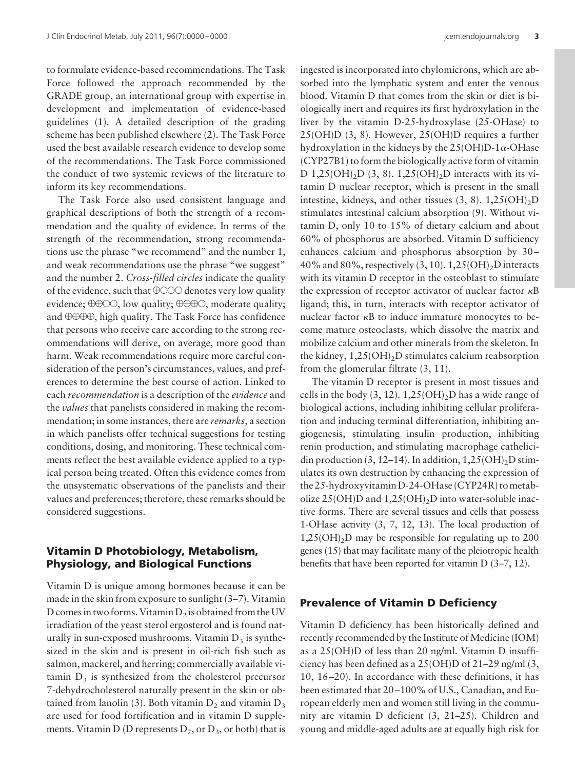to formulate evidence-based recommendations. The Task Force followed the approach recommended by the GRADE group, an international group with expertise in development and implementation of evidence-based guidelines (1). A detailed description of the grading scheme has been published elsewhere (2). The Task Force used the best available research evidence to develop some of the recommendations. The Task Force commissioned the conduct of two systemic reviews of the literature to inform its key recommendations.

The Task Force also used consistent language and graphical descriptions of both the strength of a recommendation and the quality of evidence. In terms of the strength of the recommendation, strong recommendations use the phrase "we recommend" and the number 1, and weak recommendations use the phrase "we suggest" and the number 2. *Cross-filled circles* indicate the quality of the evidence, such that  $\oplus$ OOO denotes very low quality evidence;  $\oplus \oplus \odot \odot$ , low quality;  $\oplus \oplus \oplus \odot$ , moderate quality; and  $\Theta \Theta \Theta \Theta$ , high quality. The Task Force has confidence that persons who receive care according to the strong recommendations will derive, on average, more good than harm. Weak recommendations require more careful consideration of the person's circumstances, values, and preferences to determine the best course of action. Linked to each *recommendation* is a description of the *evidence* and the *values* that panelists considered in making the recommendation; in some instances, there are *remarks,* a section in which panelists offer technical suggestions for testing conditions, dosing, and monitoring. These technical comments reflect the best available evidence applied to a typical person being treated. Often this evidence comes from the unsystematic observations of the panelists and their values and preferences; therefore, these remarks should be considered suggestions.

## **Vitamin D Photobiology, Metabolism, Physiology, and Biological Functions**

Vitamin D is unique among hormones because it can be made in the skin from exposure to sunlight (3–7). Vitamin D comes in two forms. Vitamin  $D_2$  is obtained from the UV irradiation of the yeast sterol ergosterol and is found naturally in sun-exposed mushrooms. Vitamin  $D_3$  is synthesized in the skin and is present in oil-rich fish such as salmon, mackerel, and herring; commercially available vitamin  $D_3$  is synthesized from the cholesterol precursor 7-dehydrocholesterol naturally present in the skin or obtained from lanolin (3). Both vitamin  $D_2$  and vitamin  $D_3$ are used for food fortification and in vitamin D supplements. Vitamin D (D represents  $D_2$ , or  $D_3$ , or both) that is

ingested is incorporated into chylomicrons, which are absorbed into the lymphatic system and enter the venous blood. Vitamin D that comes from the skin or diet is biologically inert and requires its first hydroxylation in the liver by the vitamin D-25-hydroxylase (25-OHase) to 25(OH)D (3, 8). However, 25(OH)D requires a further hydroxylation in the kidneys by the  $25(OH)D-1\alpha$ -OHase (CYP27B1) to form the biologically active form of vitamin D 1,25(OH)<sub>2</sub>D (3, 8). 1,25(OH)<sub>2</sub>D interacts with its vitamin D nuclear receptor, which is present in the small intestine, kidneys, and other tissues  $(3, 8)$ . 1,25 $(OH)_{2}D$ stimulates intestinal calcium absorption (9). Without vitamin D, only 10 to 15% of dietary calcium and about 60% of phosphorus are absorbed. Vitamin D sufficiency enhances calcium and phosphorus absorption by 30-40% and 80%, respectively  $(3, 10)$ . 1,25(OH)<sub>2</sub>D interacts with its vitamin D receptor in the osteoblast to stimulate the expression of receptor activator of nuclear factor  $\kappa$ B ligand; this, in turn, interacts with receptor activator of nuclear factor  $\kappa$ B to induce immature monocytes to become mature osteoclasts, which dissolve the matrix and mobilize calcium and other minerals from the skeleton. In the kidney,  $1,25(OH)_{2}D$  stimulates calcium reabsorption from the glomerular filtrate (3, 11).

The vitamin D receptor is present in most tissues and cells in the body  $(3, 12)$ . 1,25(OH)<sub>2</sub>D has a wide range of biological actions, including inhibiting cellular proliferation and inducing terminal differentiation, inhibiting angiogenesis, stimulating insulin production, inhibiting renin production, and stimulating macrophage cathelicidin production  $(3, 12-14)$ . In addition,  $1,25(OH)_{2}D$  stimulates its own destruction by enhancing the expression of the 25-hydroxyvitamin D-24-OHase (CYP24R) to metabolize  $25(OH)D$  and  $1,25(OH)2D$  into water-soluble inactive forms. There are several tissues and cells that possess 1-OHase activity (3, 7, 12, 13). The local production of  $1,25(OH)_{2}D$  may be responsible for regulating up to 200 genes (15) that may facilitate many of the pleiotropic health benefits that have been reported for vitamin D (3–7, 12).

## **Prevalence of Vitamin D Deficiency**

Vitamin D deficiency has been historically defined and recently recommended by the Institute of Medicine (IOM) as a 25(OH)D of less than 20 ng/ml. Vitamin D insufficiency has been defined as a 25(OH)D of 21–29 ng/ml (3, 10, 16 –20). In accordance with these definitions, it has been estimated that 20 –100% of U.S., Canadian, and European elderly men and women still living in the community are vitamin D deficient (3, 21–25). Children and young and middle-aged adults are at equally high risk for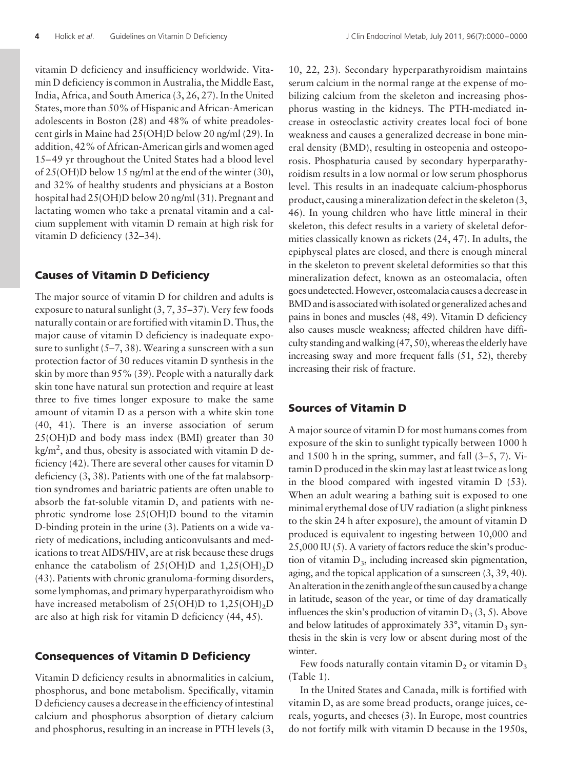vitamin D deficiency and insufficiency worldwide. Vitamin D deficiency is common in Australia, the Middle East, India, Africa, and South America (3, 26, 27). In the United States, more than 50% of Hispanic and African-American adolescents in Boston (28) and 48% of white preadolescent girls in Maine had 25(OH)D below 20 ng/ml (29). In addition, 42% of African-American girls and women aged 15– 49 yr throughout the United States had a blood level of 25(OH)D below 15 ng/ml at the end of the winter (30), and 32% of healthy students and physicians at a Boston hospital had 25(OH)D below 20 ng/ml (31). Pregnant and lactating women who take a prenatal vitamin and a calcium supplement with vitamin D remain at high risk for vitamin D deficiency (32–34).

## **Causes of Vitamin D Deficiency**

The major source of vitamin D for children and adults is exposure to natural sunlight (3, 7, 35–37). Very few foods naturally contain or are fortified with vitamin D. Thus, the major cause of vitamin D deficiency is inadequate exposure to sunlight (5–7, 38). Wearing a sunscreen with a sun protection factor of 30 reduces vitamin D synthesis in the skin by more than 95% (39). People with a naturally dark skin tone have natural sun protection and require at least three to five times longer exposure to make the same amount of vitamin D as a person with a white skin tone (40, 41). There is an inverse association of serum 25(OH)D and body mass index (BMI) greater than 30 kg/m<sup>2</sup>, and thus, obesity is associated with vitamin D deficiency (42). There are several other causes for vitamin D deficiency (3, 38). Patients with one of the fat malabsorption syndromes and bariatric patients are often unable to absorb the fat-soluble vitamin D, and patients with nephrotic syndrome lose 25(OH)D bound to the vitamin D-binding protein in the urine (3). Patients on a wide variety of medications, including anticonvulsants and medications to treat AIDS/HIV, are at risk because these drugs enhance the catabolism of  $25(OH)D$  and  $1,25(OH)D$ (43). Patients with chronic granuloma-forming disorders, some lymphomas, and primary hyperparathyroidism who have increased metabolism of  $25(OH)D$  to  $1,25(OH)D$ are also at high risk for vitamin D deficiency (44, 45).

## **Consequences of Vitamin D Deficiency**

Vitamin D deficiency results in abnormalities in calcium, phosphorus, and bone metabolism. Specifically, vitamin D deficiency causes a decrease in the efficiency of intestinal calcium and phosphorus absorption of dietary calcium and phosphorus, resulting in an increase in PTH levels (3,

10, 22, 23). Secondary hyperparathyroidism maintains serum calcium in the normal range at the expense of mobilizing calcium from the skeleton and increasing phosphorus wasting in the kidneys. The PTH-mediated increase in osteoclastic activity creates local foci of bone weakness and causes a generalized decrease in bone mineral density (BMD), resulting in osteopenia and osteoporosis. Phosphaturia caused by secondary hyperparathyroidism results in a low normal or low serum phosphorus level. This results in an inadequate calcium-phosphorus product, causing a mineralization defect in the skeleton (3, 46). In young children who have little mineral in their skeleton, this defect results in a variety of skeletal deformities classically known as rickets (24, 47). In adults, the epiphyseal plates are closed, and there is enough mineral in the skeleton to prevent skeletal deformities so that this mineralization defect, known as an osteomalacia, often goes undetected.However, osteomalacia causes a decreasein BMD and is associated with isolated or generalized aches and pains in bones and muscles (48, 49). Vitamin D deficiency also causes muscle weakness; affected children have difficulty standing and walking  $(47, 50)$ , whereas the elderly have increasing sway and more frequent falls (51, 52), thereby increasing their risk of fracture.

## **Sources of Vitamin D**

A major source of vitamin D for most humans comes from exposure of the skin to sunlight typically between 1000 h and 1500 h in the spring, summer, and fall (3–5, 7). Vitamin D produced in the skin may last at least twice as long in the blood compared with ingested vitamin D (53). When an adult wearing a bathing suit is exposed to one minimal erythemal dose of UV radiation (a slight pinkness to the skin 24 h after exposure), the amount of vitamin D produced is equivalent to ingesting between 10,000 and 25,000 IU (5). A variety of factors reduce the skin's production of vitamin  $D_3$ , including increased skin pigmentation, aging, and the topical application of a sunscreen (3, 39, 40). An alteration in the zenith angle of the sun caused by a change in latitude, season of the year, or time of day dramatically influences the skin's production of vitamin  $D_3$  (3, 5). Above and below latitudes of approximately  $33^\circ$ , vitamin  $D_3$  synthesis in the skin is very low or absent during most of the winter.

Few foods naturally contain vitamin  $D_2$  or vitamin  $D_3$ (Table 1).

In the United States and Canada, milk is fortified with vitamin D, as are some bread products, orange juices, cereals, yogurts, and cheeses (3). In Europe, most countries do not fortify milk with vitamin D because in the 1950s,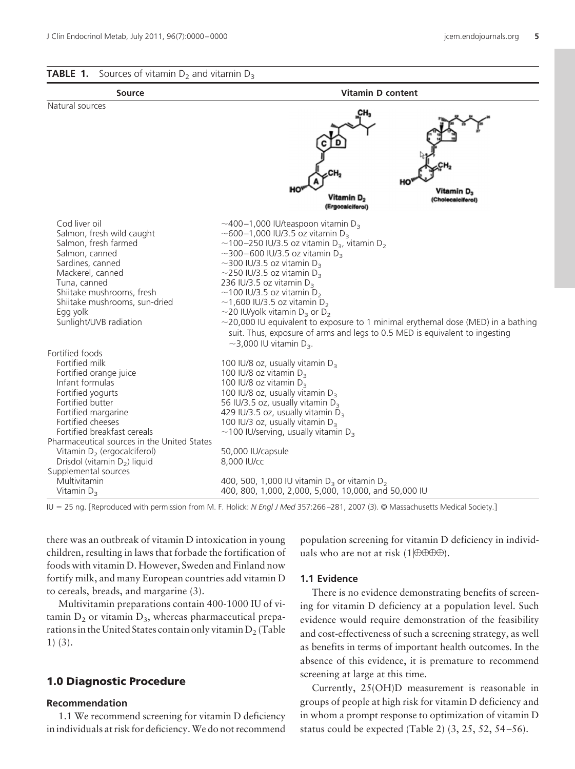#### **TABLE 1.** Sources of vitamin  $D_2$  and vitamin  $D_3$

| <b>Source</b>                                                                                                                                                                                                                                                                                                                   | <b>Vitamin D content</b>                                                                                                                                                                                                                                                                                                                                                                                                                                                                                                                                                                                                                                                                       |  |  |  |
|---------------------------------------------------------------------------------------------------------------------------------------------------------------------------------------------------------------------------------------------------------------------------------------------------------------------------------|------------------------------------------------------------------------------------------------------------------------------------------------------------------------------------------------------------------------------------------------------------------------------------------------------------------------------------------------------------------------------------------------------------------------------------------------------------------------------------------------------------------------------------------------------------------------------------------------------------------------------------------------------------------------------------------------|--|--|--|
| Natural sources                                                                                                                                                                                                                                                                                                                 | Vitamin D <sub>3</sub><br>Vitamin D <sub>2</sub><br>(Cholecalciferol)<br>(Ergocalciferol)                                                                                                                                                                                                                                                                                                                                                                                                                                                                                                                                                                                                      |  |  |  |
| Cod liver oil<br>Salmon, fresh wild caught<br>Salmon, fresh farmed<br>Salmon, canned<br>Sardines, canned<br>Mackerel, canned<br>Tuna, canned<br>Shiitake mushrooms, fresh<br>Shiitake mushrooms, sun-dried<br>Egg yolk<br>Sunlight/UVB radiation                                                                                | $\sim$ 400–1,000 IU/teaspoon vitamin D <sub>3</sub><br>~600-1,000 IU/3.5 oz vitamin D <sub>3</sub><br>$\sim$ 100–250 IU/3.5 oz vitamin D <sub>3</sub> , vitamin D <sub>2</sub><br>~300-600 IU/3.5 oz vitamin D <sub>3</sub><br>~300 IU/3.5 oz vitamin $D_3$<br>~250 IU/3.5 oz vitamin $D_3$<br>236 IU/3.5 oz vitamin D <sub>3</sub><br>$\sim$ 100 IU/3.5 oz vitamin D <sub>2</sub><br>$\sim$ 1,600 IU/3.5 oz vitamin D <sub>2</sub><br>~20 IU/yolk vitamin $D_3$ or $D_2$<br>$\sim$ 20,000 IU equivalent to exposure to 1 minimal erythemal dose (MED) in a bathing<br>suit. Thus, exposure of arms and legs to 0.5 MED is equivalent to ingesting<br>$\sim$ 3,000 IU vitamin D <sub>3</sub> . |  |  |  |
| Fortified foods<br>Fortified milk<br>Fortified orange juice<br>Infant formulas<br>Fortified yogurts<br>Fortified butter<br>Fortified margarine<br>Fortified cheeses<br>Fortified breakfast cereals<br>Pharmaceutical sources in the United States<br>Vitamin $D_2$ (ergocalciferol)<br>Drisdol (vitamin D <sub>2</sub> ) liquid | 100 IU/8 oz, usually vitamin $D_3$<br>100 IU/8 oz vitamin $D_3$<br>100 IU/8 oz vitamin $D_3$<br>100 IU/8 oz, usually vitamin $D_3$<br>56 IU/3.5 oz, usually vitamin $D_3$<br>429 IU/3.5 oz, usually vitamin D <sub>3</sub><br>100 IU/3 oz, usually vitamin $D_3$<br>$\sim$ 100 IU/serving, usually vitamin D <sub>3</sub><br>50,000 IU/capsule<br>8,000 IU/cc                                                                                                                                                                                                                                                                                                                                  |  |  |  |
| Supplemental sources<br>Multivitamin<br>Vitamin $D3$                                                                                                                                                                                                                                                                            | 400, 500, 1,000 IU vitamin $D_3$ or vitamin $D_2$<br>400, 800, 1,000, 2,000, 5,000, 10,000, and 50,000 IU                                                                                                                                                                                                                                                                                                                                                                                                                                                                                                                                                                                      |  |  |  |

IU = 25 ng. [Reproduced with permission from M. F. Holick: *N Engl J Med* 357:266-281, 2007 (3). © Massachusetts Medical Society.]

there was an outbreak of vitamin D intoxication in young children, resulting in laws that forbade the fortification of foods with vitamin D. However, Sweden and Finland now fortify milk, and many European countries add vitamin D to cereals, breads, and margarine (3).

Multivitamin preparations contain 400-1000 IU of vitamin  $D_2$  or vitamin  $D_3$ , whereas pharmaceutical preparations in the United States contain only vitamin  $D_2$  (Table 1) (3).

## **1.0 Diagnostic Procedure**

## **Recommendation**

1.1 We recommend screening for vitamin D deficiency in individuals at risk for deficiency.We do not recommend

population screening for vitamin D deficiency in individuals who are not at risk  $(1|\theta \theta \theta \theta)$ .

#### **1.1 Evidence**

There is no evidence demonstrating benefits of screening for vitamin D deficiency at a population level. Such evidence would require demonstration of the feasibility and cost-effectiveness of such a screening strategy, as well as benefits in terms of important health outcomes. In the absence of this evidence, it is premature to recommend screening at large at this time.

Currently, 25(OH)D measurement is reasonable in groups of people at high risk for vitamin D deficiency and in whom a prompt response to optimization of vitamin D status could be expected (Table 2) (3, 25, 52, 54 –56).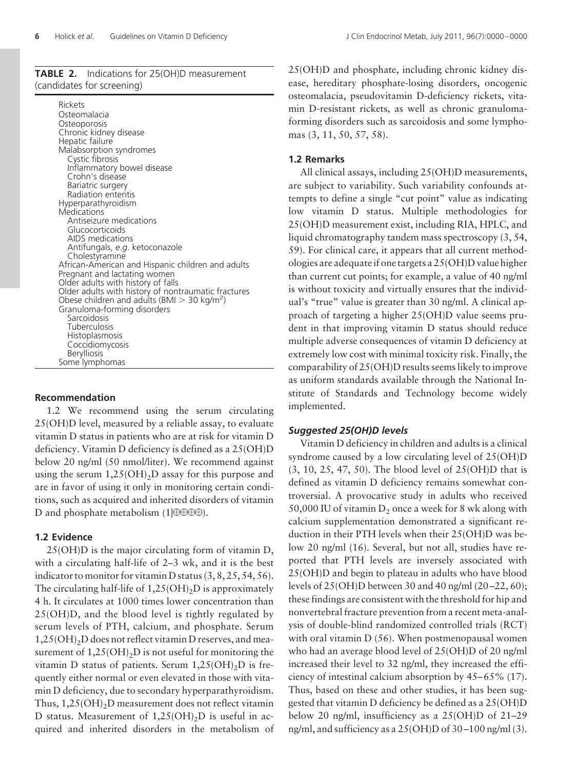## **TABLE 2.** Indications for 25(OH)D measurement (candidates for screening)

| <b>Rickets</b>                                            |
|-----------------------------------------------------------|
| Osteomalacia                                              |
| Osteoporosis                                              |
| Chronic kidney disease                                    |
| Hepatic failure                                           |
| Malabsorption syndromes                                   |
| Cystic fibrosis                                           |
| Inflammatory bowel disease                                |
| Crohn's disease                                           |
| Bariatric surgery                                         |
| Radiation enteritis                                       |
| Hyperparathyroidism                                       |
| <b>Medications</b>                                        |
| Antiseizure medications                                   |
| Glucocorticoids<br>AIDS medications                       |
|                                                           |
| Antifungals, e.g. ketoconazole<br>Cholestyramine          |
| African-American and Hispanic children and adults         |
| Pregnant and lactating women                              |
| Older adults with history of falls                        |
| Older adults with history of nontraumatic fractures       |
| Obese children and adults (BMI $>$ 30 kg/m <sup>2</sup> ) |
| Granuloma-forming disorders                               |
| Sarcoidosis                                               |
| Tuberculosis                                              |
| Histoplasmosis                                            |
| Coccidiomycosis                                           |
| <b>Berylliosis</b>                                        |
| Some lymphomas                                            |

#### **Recommendation**

1.2 We recommend using the serum circulating 25(OH)D level, measured by a reliable assay, to evaluate vitamin D status in patients who are at risk for vitamin D deficiency. Vitamin D deficiency is defined as a 25(OH)D below 20 ng/ml (50 nmol/liter). We recommend against using the serum  $1,25(OH)_2D$  assay for this purpose and are in favor of using it only in monitoring certain conditions, such as acquired and inherited disorders of vitamin D and phosphate metabolism  $(1|\theta \theta \theta \theta)$ .

#### **1.2 Evidence**

25(OH)D is the major circulating form of vitamin D, with a circulating half-life of 2–3 wk, and it is the best indicator to monitor for vitamin D status (3, 8, 25, 54, 56). The circulating half-life of  $1,25(OH)_{2}D$  is approximately 4 h. It circulates at 1000 times lower concentration than 25(OH)D, and the blood level is tightly regulated by serum levels of PTH, calcium, and phosphate. Serum  $1,25(OH)<sub>2</sub>D$  does not reflect vitamin D reserves, and measurement of  $1,25(OH)_{2}D$  is not useful for monitoring the vitamin D status of patients. Serum  $1,25(OH)_2D$  is frequently either normal or even elevated in those with vitamin D deficiency, due to secondary hyperparathyroidism. Thus,  $1,25(OH)_{2}D$  measurement does not reflect vitamin D status. Measurement of  $1,25(OH)_{2}D$  is useful in acquired and inherited disorders in the metabolism of

25(OH)D and phosphate, including chronic kidney disease, hereditary phosphate-losing disorders, oncogenic osteomalacia, pseudovitamin D-deficiency rickets, vitamin D-resistant rickets, as well as chronic granulomaforming disorders such as sarcoidosis and some lymphomas (3, 11, 50, 57, 58).

## **1.2 Remarks**

All clinical assays, including 25(OH)D measurements, are subject to variability. Such variability confounds attempts to define a single "cut point" value as indicating low vitamin D status. Multiple methodologies for 25(OH)D measurement exist, including RIA, HPLC, and liquid chromatography tandem mass spectroscopy (3, 54, 59). For clinical care, it appears that all current methodologies are adequate if one targets a 25(OH)D value higher than current cut points; for example, a value of 40 ng/ml is without toxicity and virtually ensures that the individual's "true" value is greater than 30 ng/ml. A clinical approach of targeting a higher 25(OH)D value seems prudent in that improving vitamin D status should reduce multiple adverse consequences of vitamin D deficiency at extremely low cost with minimal toxicity risk. Finally, the comparability of 25(OH)D results seems likely to improve as uniform standards available through the National Institute of Standards and Technology become widely implemented.

#### *Suggested 25(OH)D levels*

Vitamin D deficiency in children and adults is a clinical syndrome caused by a low circulating level of 25(OH)D (3, 10, 25, 47, 50). The blood level of 25(OH)D that is defined as vitamin D deficiency remains somewhat controversial. A provocative study in adults who received 50,000 IU of vitamin  $D_2$  once a week for 8 wk along with calcium supplementation demonstrated a significant reduction in their PTH levels when their 25(OH)D was below 20 ng/ml (16). Several, but not all, studies have reported that PTH levels are inversely associated with 25(OH)D and begin to plateau in adults who have blood levels of 25(OH)D between 30 and 40 ng/ml (20 –22, 60); these findings are consistent with the threshold for hip and nonvertebral fracture prevention from a recent meta-analysis of double-blind randomized controlled trials (RCT) with oral vitamin D (56). When postmenopausal women who had an average blood level of 25(OH)D of 20 ng/ml increased their level to 32 ng/ml, they increased the efficiency of intestinal calcium absorption by  $45-65\%$  (17). Thus, based on these and other studies, it has been suggested that vitamin D deficiency be defined as a 25(OH)D below 20 ng/ml, insufficiency as a 25(OH)D of 21–29 ng/ml, and sufficiency as a 25(OH)D of 30 –100 ng/ml (3).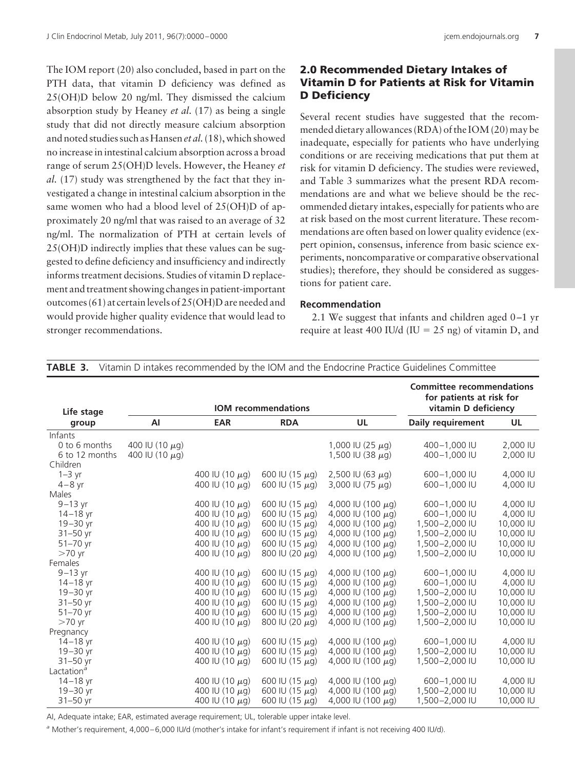The IOM report (20) also concluded, based in part on the PTH data, that vitamin D deficiency was defined as 25(OH)D below 20 ng/ml. They dismissed the calcium absorption study by Heaney *et al.* (17) as being a single study that did not directly measure calcium absorption and noted studies such as Hansen *et al.*(18), which showed no increase in intestinal calcium absorption across a broad range of serum 25(OH)D levels. However, the Heaney *et al.* (17) study was strengthened by the fact that they investigated a change in intestinal calcium absorption in the same women who had a blood level of 25(OH)D of approximately 20 ng/ml that was raised to an average of 32 ng/ml. The normalization of PTH at certain levels of 25(OH)D indirectly implies that these values can be suggested to define deficiency and insufficiency and indirectly informs treatment decisions. Studies of vitamin D replacement and treatment showing changes in patient-important outcomes (61) at certain levels of 25(OH)D are needed and would provide higher quality evidence that would lead to stronger recommendations.

## **2.0 Recommended Dietary Intakes of Vitamin D for Patients at Risk for Vitamin D Deficiency**

Several recent studies have suggested that the recommended dietary allowances (RDA) of the IOM (20) may be inadequate, especially for patients who have underlying conditions or are receiving medications that put them at risk for vitamin D deficiency. The studies were reviewed, and Table 3 summarizes what the present RDA recommendations are and what we believe should be the recommended dietary intakes, especially for patients who are at risk based on the most current literature. These recommendations are often based on lower quality evidence (expert opinion, consensus, inference from basic science experiments, noncomparative or comparative observational studies); therefore, they should be considered as suggestions for patient care.

## **Recommendation**

2.1 We suggest that infants and children aged  $0-1$  yr require at least 400 IU/d (IU =  $25$  ng) of vitamin D, and

| Life stage             |                     | <b>IOM</b> recommendations | <b>Committee recommendations</b><br>for patients at risk for<br>vitamin D deficiency |                        |                   |           |
|------------------------|---------------------|----------------------------|--------------------------------------------------------------------------------------|------------------------|-------------------|-----------|
| group                  | AI                  | <b>EAR</b>                 | <b>RDA</b>                                                                           | UL                     | Daily requirement | UL        |
| Infants                |                     |                            |                                                                                      |                        |                   |           |
| 0 to 6 months          | 400 IU (10 $\mu$ g) |                            |                                                                                      | 1,000 IU (25 $\mu$ g)  | 400-1,000 IU      | 2,000 IU  |
| 6 to 12 months         | 400 IU (10 $\mu$ g) |                            |                                                                                      | 1,500 IU (38 $\mu$ g)  | 400-1.000 IU      | 2,000 IU  |
| Children               |                     |                            |                                                                                      |                        |                   |           |
| $1 - 3$ yr             |                     | 400 IU (10 $\mu$ g)        | 600 IU (15 $\mu$ g)                                                                  | 2,500 IU (63 $\mu$ g)  | 600-1,000 IU      | 4,000 IU  |
| $4 - 8$ yr             |                     | 400 IU (10 $\mu$ g)        | 600 IU (15 $\mu$ g)                                                                  | 3,000 IU (75 $\mu$ g)  | 600-1.000 IU      | 4,000 IU  |
| Males                  |                     |                            |                                                                                      |                        |                   |           |
| $9-13$ yr              |                     | 400 IU (10 $\mu$ g)        | 600 IU (15 $\mu$ g)                                                                  | 4,000 IU (100 $\mu$ g) | 600-1,000 IU      | 4,000 IU  |
| $14 - 18$ yr           |                     | 400 IU (10 $\mu$ g)        | 600 IU (15 $\mu$ g)                                                                  | 4,000 IU (100 $\mu$ g) | 600-1,000 IU      | 4,000 IU  |
| $19 - 30$ yr           |                     | 400 IU (10 $\mu$ g)        | 600 IU (15 $\mu$ g)                                                                  | 4,000 IU (100 $\mu$ g) | 1,500-2,000 IU    | 10,000 IU |
| $31 - 50$ yr           |                     | 400 IU (10 $\mu$ g)        | 600 IU (15 $\mu$ g)                                                                  | 4,000 IU (100 $\mu$ g) | 1,500-2,000 IU    | 10,000 IU |
| 51-70 yr               |                     | 400 IU (10 $\mu$ g)        | 600 IU (15 $\mu$ g)                                                                  | 4,000 IU (100 $\mu$ g) | 1,500-2,000 IU    | 10,000 IU |
| $>70$ yr               |                     | 400 IU (10 $\mu$ g)        | 800 IU (20 $\mu$ g)                                                                  | 4,000 IU (100 $\mu$ g) | 1,500-2,000 IU    | 10,000 IU |
| Females                |                     |                            |                                                                                      |                        |                   |           |
| $9-13$ yr              |                     | 400 IU (10 $\mu$ g)        | 600 IU (15 $\mu$ g)                                                                  | 4,000 IU (100 $\mu$ g) | 600-1,000 IU      | 4,000 IU  |
| $14 - 18$ yr           |                     | 400 IU (10 $\mu$ g)        | 600 IU (15 $\mu$ g)                                                                  | 4,000 IU (100 $\mu$ g) | 600-1,000 IU      | 4,000 IU  |
| $19 - 30$ yr           |                     | 400 IU (10 $\mu$ g)        | 600 IU (15 $\mu$ g)                                                                  | 4,000 IU (100 $\mu$ g) | 1,500-2,000 IU    | 10,000 IU |
| $31 - 50$ yr           |                     | 400 IU (10 $\mu$ g)        | 600 IU (15 $\mu$ g)                                                                  | 4,000 IU (100 $\mu$ g) | 1,500-2,000 IU    | 10,000 IU |
| $51 - 70$ yr           |                     | 400 IU (10 $\mu$ g)        | 600 IU (15 $\mu$ g)                                                                  | 4,000 IU (100 $\mu$ g) | 1,500-2,000 IU    | 10,000 IU |
| $>70$ yr               |                     | 400 IU (10 $\mu$ g)        | 800 IU (20 $\mu$ g)                                                                  | 4,000 IU (100 $\mu$ g) | 1,500-2,000 IU    | 10,000 IU |
| Pregnancy              |                     |                            |                                                                                      |                        |                   |           |
| $14 - 18$ yr           |                     | 400 IU (10 $\mu$ g)        | 600 IU (15 $\mu$ g)                                                                  | 4,000 IU (100 $\mu$ g) | 600-1,000 IU      | 4,000 IU  |
| $19 - 30$ yr           |                     | 400 IU (10 $\mu$ g)        | 600 IU (15 $\mu$ g)                                                                  | 4,000 IU (100 $\mu$ g) | 1,500-2,000 IU    | 10,000 IU |
| $31 - 50$ yr           |                     | 400 IU (10 $\mu$ g)        | 600 IU (15 $\mu$ g)                                                                  | 4,000 IU (100 $\mu$ g) | 1,500-2,000 IU    | 10,000 IU |
| Lactation <sup>a</sup> |                     |                            |                                                                                      |                        |                   |           |
| $14 - 18$ yr           |                     | 400 IU (10 $\mu$ g)        | 600 IU (15 $\mu$ g)                                                                  | 4,000 IU (100 $\mu$ g) | 600-1,000 IU      | 4,000 IU  |
| 19-30 yr               |                     | 400 IU (10 $\mu$ g)        | 600 IU (15 $\mu$ g)                                                                  | 4,000 IU (100 $\mu$ g) | 1,500-2,000 IU    | 10,000 IU |
| 31-50 yr               |                     | 400 IU (10 $\mu$ g)        | 600 IU (15 $\mu$ g)                                                                  | 4,000 IU (100 $\mu$ g) | 1,500-2,000 IU    | 10,000 IU |

AI, Adequate intake; EAR, estimated average requirement; UL, tolerable upper intake level.

*<sup>a</sup>* Mother's requirement, 4,000 – 6,000 IU/d (mother's intake for infant's requirement if infant is not receiving 400 IU/d).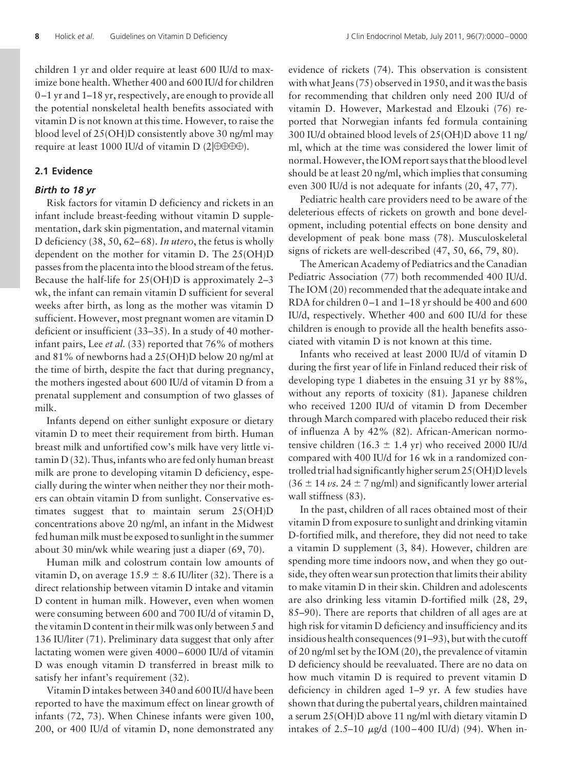children 1 yr and older require at least 600 IU/d to maximize bone health. Whether 400 and 600 IU/d for children 0 –1 yr and 1–18 yr, respectively, are enough to provide all the potential nonskeletal health benefits associated with vitamin D is not known at this time. However, to raise the blood level of 25(OH)D consistently above 30 ng/ml may require at least 1000 IU/d of vitamin D  $(2|\theta \theta \theta \theta)$ .

#### **2.1 Evidence**

#### *Birth to 18 yr*

Risk factors for vitamin D deficiency and rickets in an infant include breast-feeding without vitamin D supplementation, dark skin pigmentation, and maternal vitamin D deficiency (38, 50, 62– 68). *In utero*, the fetus is wholly dependent on the mother for vitamin D. The 25(OH)D passes from the placenta into the blood stream of the fetus. Because the half-life for 25(OH)D is approximately 2–3 wk, the infant can remain vitamin D sufficient for several weeks after birth, as long as the mother was vitamin D sufficient. However, most pregnant women are vitamin D deficient or insufficient (33–35). In a study of 40 motherinfant pairs, Lee *et al.* (33) reported that 76% of mothers and 81% of newborns had a 25(OH)D below 20 ng/ml at the time of birth, despite the fact that during pregnancy, the mothers ingested about 600 IU/d of vitamin D from a prenatal supplement and consumption of two glasses of milk.

Infants depend on either sunlight exposure or dietary vitamin D to meet their requirement from birth. Human breast milk and unfortified cow's milk have very little vitamin D (32). Thus, infants who are fed only human breast milk are prone to developing vitamin D deficiency, especially during the winter when neither they nor their mothers can obtain vitamin D from sunlight. Conservative estimates suggest that to maintain serum 25(OH)D concentrations above 20 ng/ml, an infant in the Midwest fed human milk must be exposed to sunlight in the summer about 30 min/wk while wearing just a diaper (69, 70).

Human milk and colostrum contain low amounts of vitamin D, on average  $15.9 \pm 8.6$  IU/liter (32). There is a direct relationship between vitamin D intake and vitamin D content in human milk. However, even when women were consuming between 600 and 700 IU/d of vitamin D, the vitamin D content in their milk was only between 5 and 136 IU/liter (71). Preliminary data suggest that only after lactating women were given 4000–6000 IU/d of vitamin D was enough vitamin D transferred in breast milk to satisfy her infant's requirement (32).

Vitamin D intakes between 340 and 600 IU/d have been reported to have the maximum effect on linear growth of infants (72, 73). When Chinese infants were given 100, 200, or 400 IU/d of vitamin D, none demonstrated any evidence of rickets (74). This observation is consistent with what Jeans (75) observed in 1950, and it was the basis for recommending that children only need 200 IU/d of vitamin D. However, Markestad and Elzouki (76) reported that Norwegian infants fed formula containing 300 IU/d obtained blood levels of 25(OH)D above 11 ng/ ml, which at the time was considered the lower limit of normal. However, the IOM report says that the blood level should be at least 20 ng/ml, which implies that consuming even 300 IU/d is not adequate for infants (20, 47, 77).

Pediatric health care providers need to be aware of the deleterious effects of rickets on growth and bone development, including potential effects on bone density and development of peak bone mass (78). Musculoskeletal signs of rickets are well-described (47, 50, 66, 79, 80).

The American Academy of Pediatrics and the Canadian Pediatric Association (77) both recommended 400 IU/d. The IOM (20) recommended that the adequate intake and RDA for children 0-1 and 1-18 yr should be 400 and 600 IU/d, respectively. Whether 400 and 600 IU/d for these children is enough to provide all the health benefits associated with vitamin D is not known at this time.

Infants who received at least 2000 IU/d of vitamin D during the first year of life in Finland reduced their risk of developing type 1 diabetes in the ensuing 31 yr by 88%, without any reports of toxicity (81). Japanese children who received 1200 IU/d of vitamin D from December through March compared with placebo reduced their risk of influenza A by 42% (82). African-American normotensive children (16.3  $\pm$  1.4 yr) who received 2000 IU/d compared with 400 IU/d for 16 wk in a randomized controlled trial had significantly higher serum 25(OH)D levels  $(36 \pm 14 \text{ vs. } 24 \pm 7 \text{ ng/ml})$  and significantly lower arterial wall stiffness (83).

In the past, children of all races obtained most of their vitamin D from exposure to sunlight and drinking vitamin D-fortified milk, and therefore, they did not need to take a vitamin D supplement (3, 84). However, children are spending more time indoors now, and when they go outside, they often wear sun protection that limits their ability to make vitamin D in their skin. Children and adolescents are also drinking less vitamin D-fortified milk (28, 29, 85–90). There are reports that children of all ages are at high risk for vitamin D deficiency and insufficiency and its insidious health consequences (91–93), but with the cutoff of 20 ng/ml set by the IOM (20), the prevalence of vitamin D deficiency should be reevaluated. There are no data on how much vitamin D is required to prevent vitamin D deficiency in children aged 1–9 yr. A few studies have shown that during the pubertal years, children maintained a serum 25(OH)D above 11 ng/ml with dietary vitamin D intakes of 2.5–10  $\mu$ g/d (100–400 IU/d) (94). When in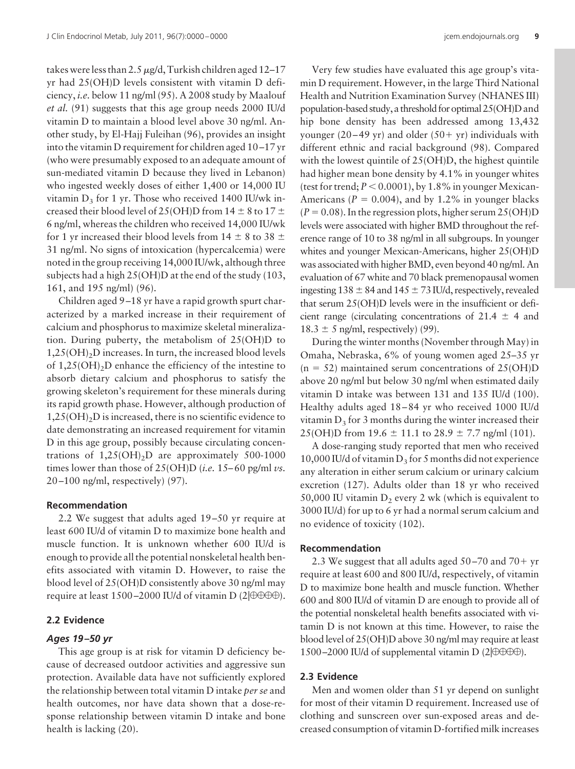takes were less than 2.5  $\mu$ g/d, Turkish children aged 12–17 yr had 25(OH)D levels consistent with vitamin D deficiency, *i.e.* below 11 ng/ml (95). A 2008 study by Maalouf *et al.* (91) suggests that this age group needs 2000 IU/d vitamin D to maintain a blood level above 30 ng/ml. Another study, by El-Hajj Fuleihan (96), provides an insight into the vitamin D requirement for children aged 10 –17 yr (who were presumably exposed to an adequate amount of sun-mediated vitamin D because they lived in Lebanon) who ingested weekly doses of either 1,400 or 14,000 IU vitamin  $D_3$  for 1 yr. Those who received 1400 IU/wk increased their blood level of 25(OH)D from 14  $\pm$  8 to 17  $\pm$ 6 ng/ml, whereas the children who received 14,000 IU/wk for 1 yr increased their blood levels from  $14 \pm 8$  to  $38 \pm$ 31 ng/ml. No signs of intoxication (hypercalcemia) were noted in the group receiving 14,000 IU/wk, although three subjects had a high 25(OH)D at the end of the study (103, 161, and 195 ng/ml) (96).

Children aged 9 –18 yr have a rapid growth spurt characterized by a marked increase in their requirement of calcium and phosphorus to maximize skeletal mineralization. During puberty, the metabolism of 25(OH)D to  $1,25(OH)_{2}D$  increases. In turn, the increased blood levels of  $1,25(OH)_{2}D$  enhance the efficiency of the intestine to absorb dietary calcium and phosphorus to satisfy the growing skeleton's requirement for these minerals during its rapid growth phase. However, although production of  $1,25(OH)_{2}D$  is increased, there is no scientific evidence to date demonstrating an increased requirement for vitamin D in this age group, possibly because circulating concentrations of  $1,25(OH)_{2}D$  are approximately 500-1000 times lower than those of  $25(OH)D$  (*i.e.* 15–60 pg/ml *vs.* 20 –100 ng/ml, respectively) (97).

#### **Recommendation**

2.2 We suggest that adults aged 19 –50 yr require at least 600 IU/d of vitamin D to maximize bone health and muscle function. It is unknown whether 600 IU/d is enough to provide all the potential nonskeletal health benefits associated with vitamin D. However, to raise the blood level of 25(OH)D consistently above 30 ng/ml may require at least  $1500 - 2000$  IU/d of vitamin D (2 $\ket{\oplus \oplus \oplus \oplus}$ ).

## **2.2 Evidence**

#### *Ages 19 –50 yr*

This age group is at risk for vitamin D deficiency because of decreased outdoor activities and aggressive sun protection. Available data have not sufficiently explored the relationship between total vitamin D intake *per se* and health outcomes, nor have data shown that a dose-response relationship between vitamin D intake and bone health is lacking (20).

Very few studies have evaluated this age group's vitamin D requirement. However, in the large Third National Health and Nutrition Examination Survey (NHANES III) population-based study, a threshold for optimal 25(OH)D and hip bone density has been addressed among 13,432 younger (20–49 yr) and older (50+ yr) individuals with different ethnic and racial background (98). Compared with the lowest quintile of 25(OH)D, the highest quintile had higher mean bone density by 4.1% in younger whites (test for trend;  $P < 0.0001$ ), by 1.8% in younger Mexican-Americans ( $P = 0.004$ ), and by 1.2% in younger blacks  $(P = 0.08)$ . In the regression plots, higher serum 25(OH)D levels were associated with higher BMD throughout the reference range of 10 to 38 ng/ml in all subgroups. In younger whites and younger Mexican-Americans, higher 25(OH)D was associated with higher BMD, even beyond 40 ng/ml. An evaluation of 67 white and 70 black premenopausal women ingesting  $138 \pm 84$  and  $145 \pm 73$  IU/d, respectively, revealed that serum 25(OH)D levels were in the insufficient or deficient range (circulating concentrations of  $21.4 \pm 4$  and  $18.3 \pm 5$  ng/ml, respectively) (99).

During the winter months (November through May) in Omaha, Nebraska, 6% of young women aged 25–35 yr  $(n = 52)$  maintained serum concentrations of 25(OH)D above 20 ng/ml but below 30 ng/ml when estimated daily vitamin D intake was between 131 and 135 IU/d (100). Healthy adults aged 18 – 84 yr who received 1000 IU/d vitamin  $D_3$  for 3 months during the winter increased their 25(OH)D from 19.6  $\pm$  11.1 to 28.9  $\pm$  7.7 ng/ml (101).

A dose-ranging study reported that men who received 10,000 IU/d of vitamin  $D_3$  for 5 months did not experience any alteration in either serum calcium or urinary calcium excretion (127). Adults older than 18 yr who received 50,000 IU vitamin  $D_2$  every 2 wk (which is equivalent to 3000 IU/d) for up to 6 yr had a normal serum calcium and no evidence of toxicity (102).

#### **Recommendation**

2.3 We suggest that all adults aged 50 –70 and 70- yr require at least 600 and 800 IU/d, respectively, of vitamin D to maximize bone health and muscle function. Whether 600 and 800 IU/d of vitamin D are enough to provide all of the potential nonskeletal health benefits associated with vitamin D is not known at this time. However, to raise the blood level of 25(OH)D above 30 ng/ml may require at least 1500-2000 IU/d of supplemental vitamin D  $(2|\text{OPT})$ .

## **2.3 Evidence**

Men and women older than 51 yr depend on sunlight for most of their vitamin D requirement. Increased use of clothing and sunscreen over sun-exposed areas and decreased consumption of vitamin D-fortified milk increases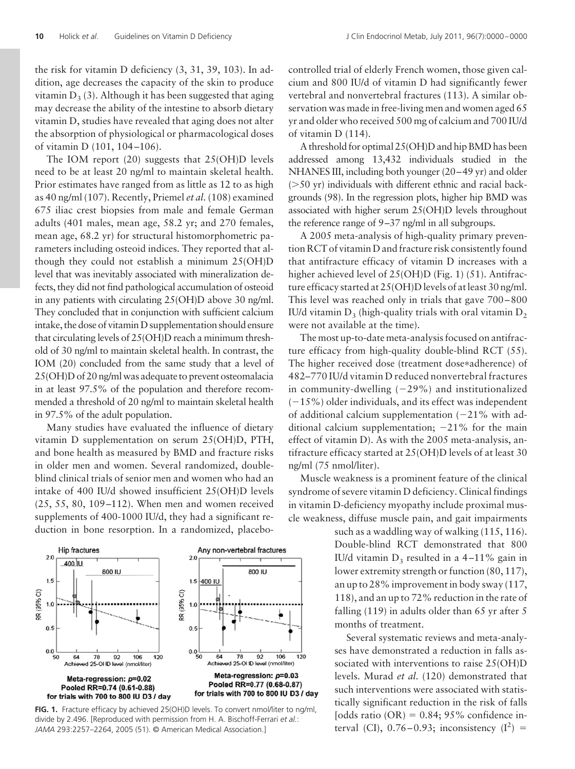the risk for vitamin D deficiency (3, 31, 39, 103). In addition, age decreases the capacity of the skin to produce vitamin  $D_3$  (3). Although it has been suggested that aging may decrease the ability of the intestine to absorb dietary vitamin D, studies have revealed that aging does not alter the absorption of physiological or pharmacological doses of vitamin D (101, 104 –106).

The IOM report (20) suggests that 25(OH)D levels need to be at least 20 ng/ml to maintain skeletal health. Prior estimates have ranged from as little as 12 to as high as 40 ng/ml (107). Recently, Priemel *et al.* (108) examined 675 iliac crest biopsies from male and female German adults (401 males, mean age, 58.2 yr; and 270 females, mean age, 68.2 yr) for structural histomorphometric parameters including osteoid indices. They reported that although they could not establish a minimum 25(OH)D level that was inevitably associated with mineralization defects, they did not find pathological accumulation of osteoid in any patients with circulating 25(OH)D above 30 ng/ml. They concluded that in conjunction with sufficient calcium intake, the dose of vitamin D supplementation should ensure that circulating levels of 25(OH)D reach a minimum threshold of 30 ng/ml to maintain skeletal health. In contrast, the IOM (20) concluded from the same study that a level of 25(OH)D of 20 ng/ml was adequate to prevent osteomalacia in at least 97.5% of the population and therefore recommended a threshold of 20 ng/ml to maintain skeletal health in 97.5% of the adult population.

Many studies have evaluated the influence of dietary vitamin D supplementation on serum 25(OH)D, PTH, and bone health as measured by BMD and fracture risks in older men and women. Several randomized, doubleblind clinical trials of senior men and women who had an intake of 400 IU/d showed insufficient 25(OH)D levels (25, 55, 80, 109 –112). When men and women received supplements of 400-1000 IU/d, they had a significant reduction in bone resorption. In a randomized, placebo-



FIG. 1. Fracture efficacy by achieved 25(OH)D levels. To convert nmol/liter to ng/ml, divide by 2.496. [Reproduced with permission from H. A. Bischoff-Ferrari *et al.*: *JAMA* 293:2257–2264, 2005 (51). © American Medical Association.]

controlled trial of elderly French women, those given calcium and 800 IU/d of vitamin D had significantly fewer vertebral and nonvertebral fractures (113). A similar observation was made in free-living men and women aged 65 yr and older who received 500 mg of calcium and 700 IU/d of vitamin D (114).

A threshold for optimal 25(OH)D and hip BMD has been addressed among 13,432 individuals studied in the NHANES III, including both younger (20–49 yr) and older  $($ >50 yr) individuals with different ethnic and racial backgrounds (98). In the regression plots, higher hip BMD was associated with higher serum 25(OH)D levels throughout the reference range of 9 –37 ng/ml in all subgroups.

A 2005 meta-analysis of high-quality primary prevention RCT of vitamin D and fracture risk consistently found that antifracture efficacy of vitamin D increases with a higher achieved level of 25(OH)D (Fig. 1) (51). Antifracture efficacy started at 25(OH)D levels of at least 30 ng/ml. This level was reached only in trials that gave  $700 - 800$ IU/d vitamin  $D_3$  (high-quality trials with oral vitamin  $D_2$ were not available at the time).

The most up-to-date meta-analysis focused on antifracture efficacy from high-quality double-blind RCT (55). The higher received dose (treatment dose\*adherence) of 482–770 IU/d vitamin D reduced nonvertebral fractures in community-dwelling  $(-29\%)$  and institutionalized  $(-15\%)$  older individuals, and its effect was independent of additional calcium supplementation  $(-21\%$  with additional calcium supplementation;  $-21\%$  for the main effect of vitamin D). As with the 2005 meta-analysis, antifracture efficacy started at 25(OH)D levels of at least 30 ng/ml (75 nmol/liter).

Muscle weakness is a prominent feature of the clinical syndrome of severe vitamin D deficiency. Clinical findings in vitamin D-deficiency myopathy include proximal muscle weakness, diffuse muscle pain, and gait impairments

> such as a waddling way of walking (115, 116). Double-blind RCT demonstrated that 800 IU/d vitamin  $D_3$  resulted in a 4-11% gain in lower extremity strength or function (80, 117), an up to 28% improvement in body sway (117, 118), and an up to 72% reduction in the rate of falling (119) in adults older than 65 yr after 5 months of treatment.

> Several systematic reviews and meta-analyses have demonstrated a reduction in falls associated with interventions to raise 25(OH)D levels. Murad *et al.* (120) demonstrated that such interventions were associated with statistically significant reduction in the risk of falls [odds ratio  $(OR) = 0.84$ ; 95% confidence interval (CI),  $0.76 - 0.93$ ; inconsistency (I<sup>2</sup>) =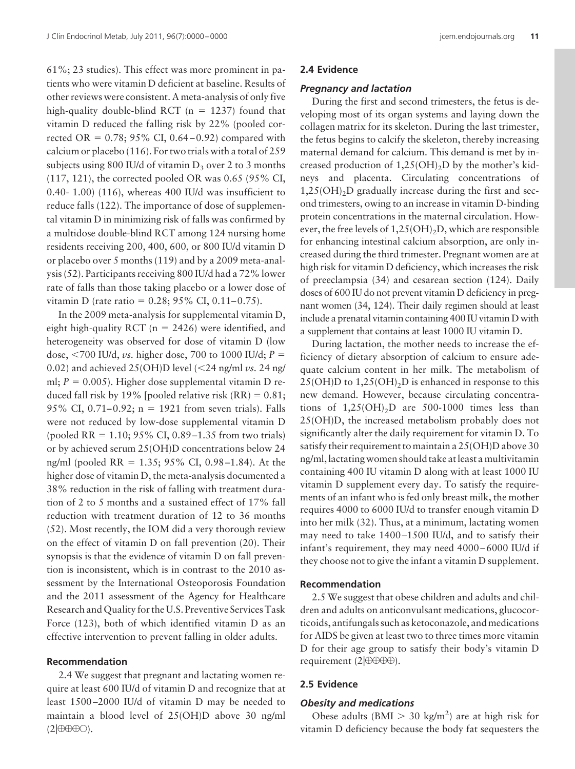61%; 23 studies). This effect was more prominent in patients who were vitamin D deficient at baseline. Results of other reviews were consistent. A meta-analysis of only five high-quality double-blind RCT ( $n = 1237$ ) found that vitamin D reduced the falling risk by 22% (pooled corrected OR =  $0.78$ ; 95% CI, 0.64-0.92) compared with calcium or placebo (116). For two trials with a total of 259 subjects using 800 IU/d of vitamin  $D_3$  over 2 to 3 months (117, 121), the corrected pooled OR was 0.65 (95% CI, 0.40- 1.00) (116), whereas 400 IU/d was insufficient to reduce falls (122). The importance of dose of supplemental vitamin D in minimizing risk of falls was confirmed by a multidose double-blind RCT among 124 nursing home residents receiving 200, 400, 600, or 800 IU/d vitamin D or placebo over 5 months (119) and by a 2009 meta-anal-

ysis (52). Participants receiving 800 IU/d had a 72% lower rate of falls than those taking placebo or a lower dose of

vitamin D (rate ratio =  $0.28$ ; 95% CI, 0.11–0.75). In the 2009 meta-analysis for supplemental vitamin D, eight high-quality RCT ( $n = 2426$ ) were identified, and heterogeneity was observed for dose of vitamin D (low dose, 700 IU/d, *vs.* higher dose, 700 to 1000 IU/d; *P* 0.02) and achieved  $25(OH)D$  level (<24 ng/ml *vs.* 24 ng/ ml;  $P = 0.005$ ). Higher dose supplemental vitamin D reduced fall risk by 19% [pooled relative risk  $(RR) = 0.81$ ; 95% CI, 0.71–0.92;  $n = 1921$  from seven trials). Falls were not reduced by low-dose supplemental vitamin D (pooled RR = 1.10; 95% CI, 0.89–1.35 from two trials) or by achieved serum 25(OH)D concentrations below 24 ng/ml (pooled RR = 1.35; 95% CI, 0.98–1.84). At the higher dose of vitamin D, the meta-analysis documented a 38% reduction in the risk of falling with treatment duration of 2 to 5 months and a sustained effect of 17% fall reduction with treatment duration of 12 to 36 months (52). Most recently, the IOM did a very thorough review on the effect of vitamin D on fall prevention (20). Their synopsis is that the evidence of vitamin D on fall prevention is inconsistent, which is in contrast to the 2010 assessment by the International Osteoporosis Foundation and the 2011 assessment of the Agency for Healthcare Research and Quality for the U.S. Preventive Services Task Force (123), both of which identified vitamin D as an effective intervention to prevent falling in older adults.

## **Recommendation**

2.4 We suggest that pregnant and lactating women require at least 600 IU/d of vitamin D and recognize that at least 1500 –2000 IU/d of vitamin D may be needed to maintain a blood level of 25(OH)D above 30 ng/ml  $(2|\oplus\oplus\oplus\odot)$ .

## **2.4 Evidence**

#### *Pregnancy and lactation*

During the first and second trimesters, the fetus is developing most of its organ systems and laying down the collagen matrix for its skeleton. During the last trimester, the fetus begins to calcify the skeleton, thereby increasing maternal demand for calcium. This demand is met by increased production of  $1,25(OH)_{2}D$  by the mother's kidneys and placenta. Circulating concentrations of  $1,25(OH)<sub>2</sub>D$  gradually increase during the first and second trimesters, owing to an increase in vitamin D-binding protein concentrations in the maternal circulation. However, the free levels of  $1,25(OH)_{2}D$ , which are responsible for enhancing intestinal calcium absorption, are only increased during the third trimester. Pregnant women are at high risk for vitamin D deficiency, which increases the risk of preeclampsia (34) and cesarean section (124). Daily doses of 600 IU do not prevent vitamin D deficiency in pregnant women (34, 124). Their daily regimen should at least include a prenatal vitamin containing 400 IU vitamin D with a supplement that contains at least 1000 IU vitamin D.

During lactation, the mother needs to increase the efficiency of dietary absorption of calcium to ensure adequate calcium content in her milk. The metabolism of  $25(OH)D$  to  $1,25(OH)_{2}D$  is enhanced in response to this new demand. However, because circulating concentrations of  $1,25(OH)_{2}D$  are 500-1000 times less than 25(OH)D, the increased metabolism probably does not significantly alter the daily requirement for vitamin D. To satisfy their requirement to maintain a 25(OH)D above 30 ng/ml, lactating women should take at least a multivitamin containing 400 IU vitamin D along with at least 1000 IU vitamin D supplement every day. To satisfy the requirements of an infant who is fed only breast milk, the mother requires 4000 to 6000 IU/d to transfer enough vitamin D into her milk (32). Thus, at a minimum, lactating women may need to take 1400–1500 IU/d, and to satisfy their infant's requirement, they may need 4000–6000 IU/d if they choose not to give the infant a vitamin D supplement.

#### **Recommendation**

2.5 We suggest that obese children and adults and children and adults on anticonvulsant medications, glucocorticoids, antifungals such as ketoconazole, and medications for AIDS be given at least two to three times more vitamin D for their age group to satisfy their body's vitamin D requirement ( $2|\theta\theta\theta\phi\rangle$ ).

## **2.5 Evidence**

#### *Obesity and medications*

Obese adults (BMI  $> 30$  kg/m<sup>2</sup>) are at high risk for vitamin D deficiency because the body fat sequesters the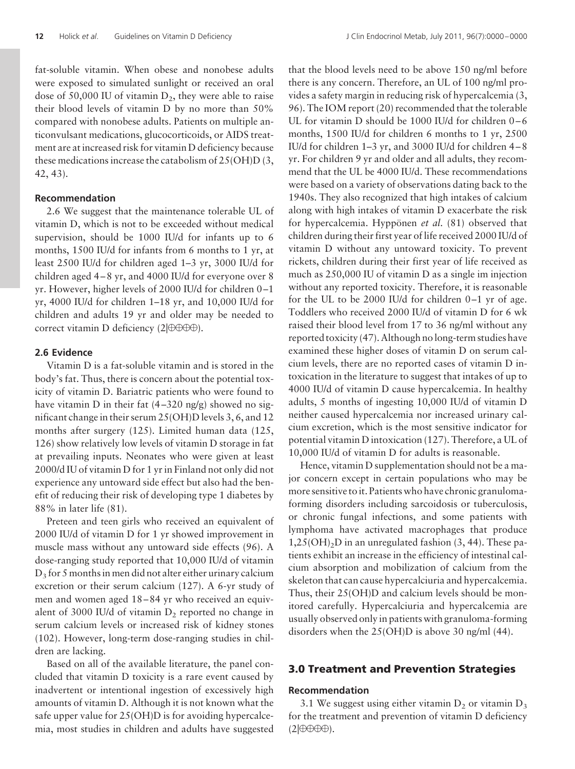fat-soluble vitamin. When obese and nonobese adults were exposed to simulated sunlight or received an oral dose of 50,000 IU of vitamin  $D_2$ , they were able to raise their blood levels of vitamin D by no more than 50% compared with nonobese adults. Patients on multiple anticonvulsant medications, glucocorticoids, or AIDS treatment are at increased risk for vitamin D deficiency because these medications increase the catabolism of 25(OH)D (3, 42, 43).

### **Recommendation**

2.6 We suggest that the maintenance tolerable UL of vitamin D, which is not to be exceeded without medical supervision, should be 1000 IU/d for infants up to 6 months, 1500 IU/d for infants from 6 months to 1 yr, at least 2500 IU/d for children aged 1–3 yr, 3000 IU/d for children aged 4 – 8 yr, and 4000 IU/d for everyone over 8 yr. However, higher levels of 2000 IU/d for children 0 –1 yr, 4000 IU/d for children 1–18 yr, and 10,000 IU/d for children and adults 19 yr and older may be needed to correct vitamin D deficiency  $(2|\theta \theta \theta \theta)$ .

#### **2.6 Evidence**

Vitamin D is a fat-soluble vitamin and is stored in the body's fat. Thus, there is concern about the potential toxicity of vitamin D. Bariatric patients who were found to have vitamin D in their fat  $(4-320 \text{ ng/g})$  showed no significant change in their serum 25(OH)D levels 3, 6, and 12 months after surgery (125). Limited human data (125, 126) show relatively low levels of vitamin D storage in fat at prevailing inputs. Neonates who were given at least 2000/d IU of vitamin D for 1 yr in Finland not only did not experience any untoward side effect but also had the benefit of reducing their risk of developing type 1 diabetes by 88% in later life (81).

Preteen and teen girls who received an equivalent of 2000 IU/d of vitamin D for 1 yr showed improvement in muscle mass without any untoward side effects (96). A dose-ranging study reported that 10,000 IU/d of vitamin  $D<sub>3</sub>$  for 5 months in men did not alter either urinary calcium excretion or their serum calcium (127). A 6-yr study of men and women aged 18–84 yr who received an equivalent of 3000 IU/d of vitamin  $D_2$  reported no change in serum calcium levels or increased risk of kidney stones (102). However, long-term dose-ranging studies in children are lacking.

Based on all of the available literature, the panel concluded that vitamin D toxicity is a rare event caused by inadvertent or intentional ingestion of excessively high amounts of vitamin D. Although it is not known what the safe upper value for 25(OH)D is for avoiding hypercalcemia, most studies in children and adults have suggested

that the blood levels need to be above 150 ng/ml before there is any concern. Therefore, an UL of 100 ng/ml provides a safety margin in reducing risk of hypercalcemia (3, 96). The IOM report (20) recommended that the tolerable UL for vitamin D should be 1000 IU/d for children  $0 - 6$ months, 1500 IU/d for children 6 months to 1 yr, 2500 IU/d for children 1–3 yr, and 3000 IU/d for children 4 – 8 yr. For children 9 yr and older and all adults, they recommend that the UL be 4000 IU/d. These recommendations were based on a variety of observations dating back to the 1940s. They also recognized that high intakes of calcium along with high intakes of vitamin D exacerbate the risk for hypercalcemia. Hypponen *et al.* (81) observed that children during their first year of life received 2000 IU/d of vitamin D without any untoward toxicity. To prevent rickets, children during their first year of life received as much as 250,000 IU of vitamin D as a single im injection without any reported toxicity. Therefore, it is reasonable for the UL to be 2000 IU/d for children  $0-1$  yr of age. Toddlers who received 2000 IU/d of vitamin D for 6 wk raised their blood level from 17 to 36 ng/ml without any reported toxicity (47). Although no long-term studies have examined these higher doses of vitamin D on serum calcium levels, there are no reported cases of vitamin D intoxication in the literature to suggest that intakes of up to 4000 IU/d of vitamin D cause hypercalcemia. In healthy adults, 5 months of ingesting 10,000 IU/d of vitamin D neither caused hypercalcemia nor increased urinary calcium excretion, which is the most sensitive indicator for potential vitamin D intoxication (127). Therefore, a UL of 10,000 IU/d of vitamin D for adults is reasonable.

Hence, vitamin D supplementation should not be a major concern except in certain populations who may be more sensitive to it. Patients who have chronic granulomaforming disorders including sarcoidosis or tuberculosis, or chronic fungal infections, and some patients with lymphoma have activated macrophages that produce  $1,25(OH)_{2}D$  in an unregulated fashion (3, 44). These patients exhibit an increase in the efficiency of intestinal calcium absorption and mobilization of calcium from the skeleton that can cause hypercalciuria and hypercalcemia. Thus, their 25(OH)D and calcium levels should be monitored carefully. Hypercalciuria and hypercalcemia are usually observed only in patients with granuloma-forming disorders when the 25(OH)D is above 30 ng/ml (44).

## **3.0 Treatment and Prevention Strategies**

#### **Recommendation**

3.1 We suggest using either vitamin  $D_2$  or vitamin  $D_3$ for the treatment and prevention of vitamin D deficiency  $(2|\text{OD}\text{OD})$ .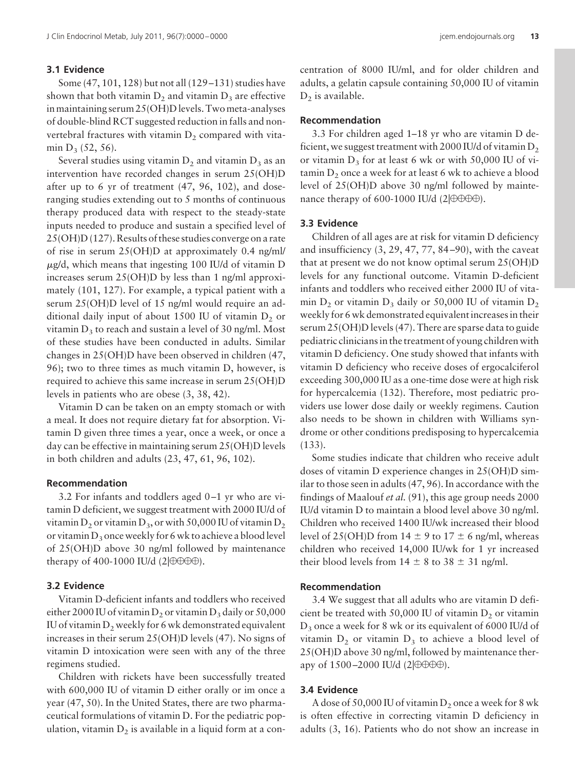## **3.1 Evidence**

Some (47, 101, 128) but not all (129 –131) studies have shown that both vitamin  $D_2$  and vitamin  $D_3$  are effective in maintaining serum 25(OH)D levels. Two meta-analyses of double-blind RCT suggested reduction in falls and nonvertebral fractures with vitamin  $D<sub>2</sub>$  compared with vitamin  $D_3$  (52, 56).

Several studies using vitamin  $D_2$  and vitamin  $D_3$  as an intervention have recorded changes in serum 25(OH)D after up to 6 yr of treatment (47, 96, 102), and doseranging studies extending out to 5 months of continuous therapy produced data with respect to the steady-state inputs needed to produce and sustain a specified level of 25(OH)D (127). Results of these studies converge on a rate of rise in serum 25(OH)D at approximately 0.4 ng/ml/  $\mu$ g/d, which means that ingesting 100 IU/d of vitamin D increases serum 25(OH)D by less than 1 ng/ml approximately (101, 127). For example, a typical patient with a serum 25(OH)D level of 15 ng/ml would require an additional daily input of about 1500 IU of vitamin  $D<sub>2</sub>$  or vitamin  $D_3$  to reach and sustain a level of 30 ng/ml. Most of these studies have been conducted in adults. Similar changes in 25(OH)D have been observed in children (47, 96); two to three times as much vitamin D, however, is required to achieve this same increase in serum 25(OH)D levels in patients who are obese (3, 38, 42).

Vitamin D can be taken on an empty stomach or with a meal. It does not require dietary fat for absorption. Vitamin D given three times a year, once a week, or once a day can be effective in maintaining serum 25(OH)D levels in both children and adults (23, 47, 61, 96, 102).

#### **Recommendation**

3.2 For infants and toddlers aged 0 –1 yr who are vitamin D deficient, we suggest treatment with 2000 IU/d of vitamin D<sub>2</sub> or vitamin D<sub>3</sub>, or with 50,000 IU of vitamin D<sub>2</sub> or vitamin  $D_3$  once weekly for 6 wk to achieve a blood level of 25(OH)D above 30 ng/ml followed by maintenance therapy of 400-1000 IU/d  $(2|\text{OD}\text{OD})$ .

## **3.2 Evidence**

Vitamin D-deficient infants and toddlers who received either 2000 IU of vitamin  $D_2$  or vitamin  $D_3$  daily or 50,000 IU of vitamin  $D_2$  weekly for 6 wk demonstrated equivalent increases in their serum 25(OH)D levels (47). No signs of vitamin D intoxication were seen with any of the three regimens studied.

Children with rickets have been successfully treated with 600,000 IU of vitamin D either orally or im once a year (47, 50). In the United States, there are two pharmaceutical formulations of vitamin D. For the pediatric population, vitamin  $D_2$  is available in a liquid form at a concentration of 8000 IU/ml, and for older children and adults, a gelatin capsule containing 50,000 IU of vitamin  $D_2$  is available.

#### **Recommendation**

3.3 For children aged 1–18 yr who are vitamin D deficient, we suggest treatment with 2000 IU/d of vitamin  $D_2$ or vitamin  $D_3$  for at least 6 wk or with 50,000 IU of vitamin  $D_2$  once a week for at least 6 wk to achieve a blood level of 25(OH)D above 30 ng/ml followed by maintenance therapy of 600-1000 IU/d (2 $\vert \oplus \oplus \oplus \oplus \rangle$ ).

#### **3.3 Evidence**

Children of all ages are at risk for vitamin D deficiency and insufficiency (3, 29, 47, 77, 84 –90), with the caveat that at present we do not know optimal serum 25(OH)D levels for any functional outcome. Vitamin D-deficient infants and toddlers who received either 2000 IU of vitamin  $D_2$  or vitamin  $D_3$  daily or 50,000 IU of vitamin  $D_2$ weekly for 6 wk demonstrated equivalent increases in their serum 25(OH)D levels (47). There are sparse data to guide pediatric clinicians in the treatment of young children with vitamin D deficiency. One study showed that infants with vitamin D deficiency who receive doses of ergocalciferol exceeding 300,000 IU as a one-time dose were at high risk for hypercalcemia (132). Therefore, most pediatric providers use lower dose daily or weekly regimens. Caution also needs to be shown in children with Williams syndrome or other conditions predisposing to hypercalcemia (133).

Some studies indicate that children who receive adult doses of vitamin D experience changes in 25(OH)D similar to those seen in adults (47, 96). In accordance with the findings of Maalouf *et al.* (91), this age group needs 2000 IU/d vitamin D to maintain a blood level above 30 ng/ml. Children who received 1400 IU/wk increased their blood level of 25(OH)D from 14  $\pm$  9 to 17  $\pm$  6 ng/ml, whereas children who received 14,000 IU/wk for 1 yr increased their blood levels from  $14 \pm 8$  to  $38 \pm 31$  ng/ml.

#### **Recommendation**

3.4 We suggest that all adults who are vitamin D deficient be treated with 50,000 IU of vitamin  $D_2$  or vitamin  $D_3$  once a week for 8 wk or its equivalent of 6000 IU/d of vitamin  $D_2$  or vitamin  $D_3$  to achieve a blood level of 25(OH)D above 30 ng/ml, followed by maintenance therapy of  $1500 - 2000$  IU/d (2 $\oplus \oplus \oplus$ ).

#### **3.4 Evidence**

A dose of 50,000 IU of vitamin  $D_2$  once a week for 8 wk is often effective in correcting vitamin D deficiency in adults (3, 16). Patients who do not show an increase in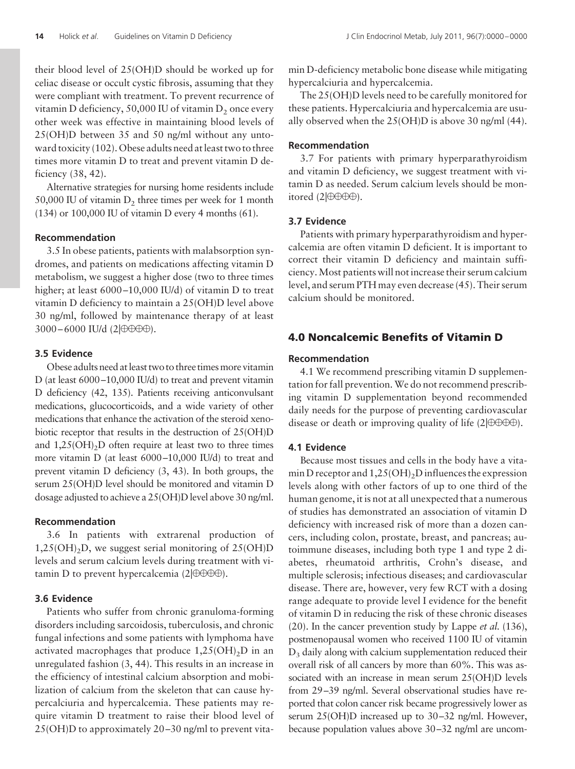their blood level of 25(OH)D should be worked up for celiac disease or occult cystic fibrosis, assuming that they were compliant with treatment. To prevent recurrence of vitamin D deficiency, 50,000 IU of vitamin  $D_2$  once every other week was effective in maintaining blood levels of 25(OH)D between 35 and 50 ng/ml without any untoward toxicity (102). Obese adults need at least two to three times more vitamin D to treat and prevent vitamin D deficiency (38, 42).

Alternative strategies for nursing home residents include 50,000 IU of vitamin  $D_2$  three times per week for 1 month (134) or 100,000 IU of vitamin D every 4 months (61).

#### **Recommendation**

3.5 In obese patients, patients with malabsorption syndromes, and patients on medications affecting vitamin D metabolism, we suggest a higher dose (two to three times higher; at least 6000–10,000 IU/d) of vitamin D to treat vitamin D deficiency to maintain a 25(OH)D level above 30 ng/ml, followed by maintenance therapy of at least 3000-6000 IU/d (20000).

#### **3.5 Evidence**

Obese adults need at least two to three times more vitamin D (at least 6000–10,000 IU/d) to treat and prevent vitamin D deficiency (42, 135). Patients receiving anticonvulsant medications, glucocorticoids, and a wide variety of other medications that enhance the activation of the steroid xenobiotic receptor that results in the destruction of 25(OH)D and  $1,25(OH)_{2}D$  often require at least two to three times more vitamin D (at least 6000-10,000 IU/d) to treat and prevent vitamin D deficiency (3, 43). In both groups, the serum 25(OH)D level should be monitored and vitamin D dosage adjusted to achieve a 25(OH)D level above 30 ng/ml.

## **Recommendation**

3.6 In patients with extrarenal production of  $1,25(OH)_{2}D$ , we suggest serial monitoring of  $25(OH)D$ levels and serum calcium levels during treatment with vitamin D to prevent hypercalcemia  $(2|\theta \theta \theta \theta)$ .

### **3.6 Evidence**

Patients who suffer from chronic granuloma-forming disorders including sarcoidosis, tuberculosis, and chronic fungal infections and some patients with lymphoma have activated macrophages that produce  $1,25(OH)_{2}D$  in an unregulated fashion (3, 44). This results in an increase in the efficiency of intestinal calcium absorption and mobilization of calcium from the skeleton that can cause hypercalciuria and hypercalcemia. These patients may require vitamin D treatment to raise their blood level of 25(OH)D to approximately 20 –30 ng/ml to prevent vita-

min D-deficiency metabolic bone disease while mitigating hypercalciuria and hypercalcemia.

The 25(OH)D levels need to be carefully monitored for these patients. Hypercalciuria and hypercalcemia are usually observed when the 25(OH)D is above 30 ng/ml (44).

#### **Recommendation**

3.7 For patients with primary hyperparathyroidism and vitamin D deficiency, we suggest treatment with vitamin D as needed. Serum calcium levels should be monitored  $(2|\theta\theta\theta\theta)$ .

### **3.7 Evidence**

Patients with primary hyperparathyroidism and hypercalcemia are often vitamin D deficient. It is important to correct their vitamin D deficiency and maintain sufficiency.Most patients will not increase their serum calcium level, and serum PTH may even decrease (45). Their serum calcium should be monitored.

## **4.0 Noncalcemic Benefits of Vitamin D**

## **Recommendation**

4.1 We recommend prescribing vitamin D supplementation for fall prevention. We do not recommend prescribing vitamin D supplementation beyond recommended daily needs for the purpose of preventing cardiovascular disease or death or improving quality of life  $(2|\theta \theta \theta \theta)$ .

#### **4.1 Evidence**

Because most tissues and cells in the body have a vitamin D receptor and  $1,25(OH)_{2}D$  influences the expression levels along with other factors of up to one third of the human genome, it is not at all unexpected that a numerous of studies has demonstrated an association of vitamin D deficiency with increased risk of more than a dozen cancers, including colon, prostate, breast, and pancreas; autoimmune diseases, including both type 1 and type 2 diabetes, rheumatoid arthritis, Crohn's disease, and multiple sclerosis; infectious diseases; and cardiovascular disease. There are, however, very few RCT with a dosing range adequate to provide level I evidence for the benefit of vitamin D in reducing the risk of these chronic diseases (20). In the cancer prevention study by Lappe *et al.* (136), postmenopausal women who received 1100 IU of vitamin  $D_3$  daily along with calcium supplementation reduced their overall risk of all cancers by more than 60%. This was associated with an increase in mean serum 25(OH)D levels from 29 –39 ng/ml. Several observational studies have reported that colon cancer risk became progressively lower as serum 25(OH)D increased up to 30–32 ng/ml. However, because population values above 30 –32 ng/ml are uncom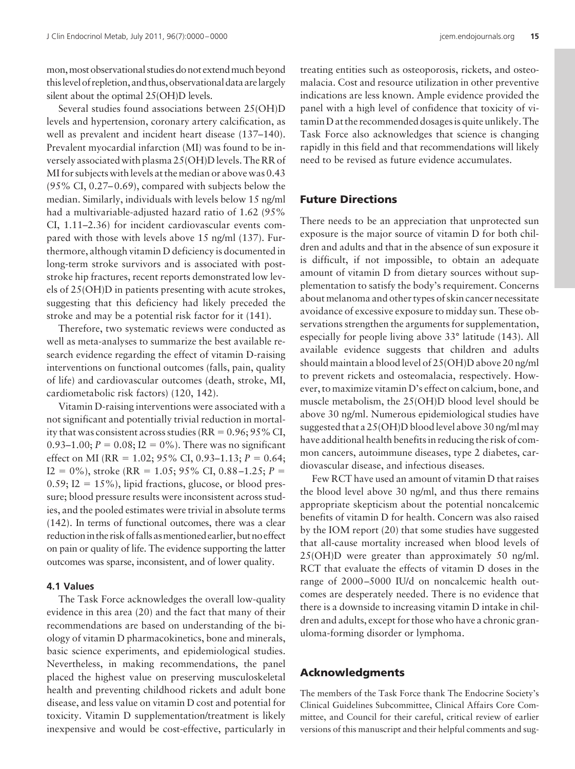mon, most observational studies do not extend much beyond thislevel of repletion, and thus, observational data arelargely silent about the optimal 25(OH)D levels.

Several studies found associations between 25(OH)D levels and hypertension, coronary artery calcification, as well as prevalent and incident heart disease (137–140). Prevalent myocardial infarction (MI) was found to be inversely associated with plasma 25(OH)D levels. The RR of MI for subjects with levels at the median or above was 0.43  $(95\% \text{ CI}, 0.27-0.69)$ , compared with subjects below the median. Similarly, individuals with levels below 15 ng/ml had a multivariable-adjusted hazard ratio of 1.62 (95% CI, 1.11–2.36) for incident cardiovascular events compared with those with levels above 15 ng/ml (137). Furthermore, although vitamin D deficiency is documented in long-term stroke survivors and is associated with poststroke hip fractures, recent reports demonstrated low levels of 25(OH)D in patients presenting with acute strokes, suggesting that this deficiency had likely preceded the stroke and may be a potential risk factor for it (141).

Therefore, two systematic reviews were conducted as well as meta-analyses to summarize the best available research evidence regarding the effect of vitamin D-raising interventions on functional outcomes (falls, pain, quality of life) and cardiovascular outcomes (death, stroke, MI, cardiometabolic risk factors) (120, 142).

Vitamin D-raising interventions were associated with a not significant and potentially trivial reduction in mortality that was consistent across studies ( $RR = 0.96$ ;  $95\%$  CI, 0.93–1.00;  $P = 0.08$ ; I2 = 0%). There was no significant effect on MI (RR = 1.02; 95% CI, 0.93–1.13;  $P = 0.64$ ;  $I2 = 0\%$ , stroke (RR = 1.05; 95% CI, 0.88–1.25; *P* =  $0.59$ ; I2 = 15%), lipid fractions, glucose, or blood pressure; blood pressure results were inconsistent across studies, and the pooled estimates were trivial in absolute terms (142). In terms of functional outcomes, there was a clear reduction in the risk of falls as mentioned earlier, but no effect on pain or quality of life. The evidence supporting the latter outcomes was sparse, inconsistent, and of lower quality.

## **4.1 Values**

The Task Force acknowledges the overall low-quality evidence in this area (20) and the fact that many of their recommendations are based on understanding of the biology of vitamin D pharmacokinetics, bone and minerals, basic science experiments, and epidemiological studies. Nevertheless, in making recommendations, the panel placed the highest value on preserving musculoskeletal health and preventing childhood rickets and adult bone disease, and less value on vitamin D cost and potential for toxicity. Vitamin D supplementation/treatment is likely inexpensive and would be cost-effective, particularly in

treating entities such as osteoporosis, rickets, and osteomalacia. Cost and resource utilization in other preventive indications are less known. Ample evidence provided the panel with a high level of confidence that toxicity of vitamin D at the recommended dosages is quite unlikely. The Task Force also acknowledges that science is changing rapidly in this field and that recommendations will likely need to be revised as future evidence accumulates.

## **Future Directions**

There needs to be an appreciation that unprotected sun exposure is the major source of vitamin D for both children and adults and that in the absence of sun exposure it is difficult, if not impossible, to obtain an adequate amount of vitamin D from dietary sources without supplementation to satisfy the body's requirement. Concerns about melanoma and other types of skin cancer necessitate avoidance of excessive exposure to midday sun. These observations strengthen the arguments for supplementation, especially for people living above 33° latitude (143). All available evidence suggests that children and adults should maintain a blood level of 25(OH)D above 20 ng/ml to prevent rickets and osteomalacia, respectively. However, to maximize vitamin D's effect on calcium, bone, and muscle metabolism, the 25(OH)D blood level should be above 30 ng/ml. Numerous epidemiological studies have suggested that a 25(OH)D blood level above 30 ng/ml may have additional health benefits in reducing the risk of common cancers, autoimmune diseases, type 2 diabetes, cardiovascular disease, and infectious diseases.

Few RCT have used an amount of vitamin D that raises the blood level above 30 ng/ml, and thus there remains appropriate skepticism about the potential noncalcemic benefits of vitamin D for health. Concern was also raised by the IOM report (20) that some studies have suggested that all-cause mortality increased when blood levels of 25(OH)D were greater than approximately 50 ng/ml. RCT that evaluate the effects of vitamin D doses in the range of 2000 –5000 IU/d on noncalcemic health outcomes are desperately needed. There is no evidence that there is a downside to increasing vitamin D intake in children and adults, except for those who have a chronic granuloma-forming disorder or lymphoma.

## **Acknowledgments**

The members of the Task Force thank The Endocrine Society's Clinical Guidelines Subcommittee, Clinical Affairs Core Committee, and Council for their careful, critical review of earlier versions of this manuscript and their helpful comments and sug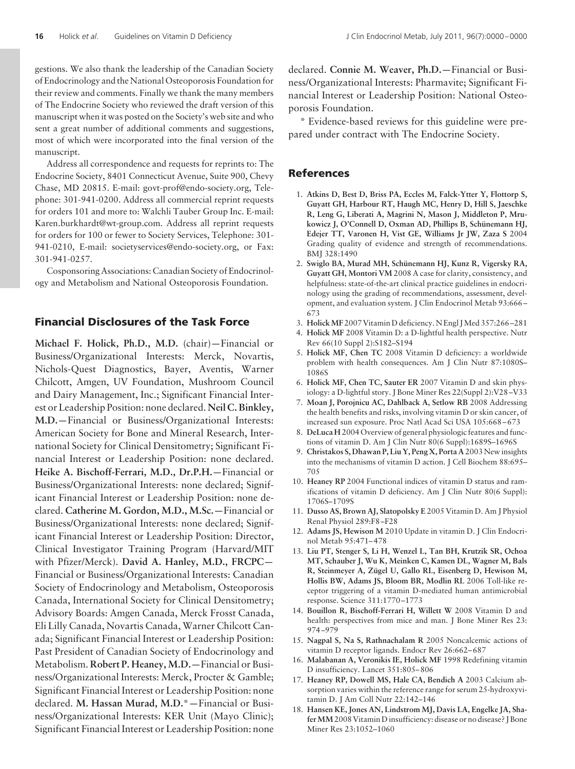gestions. We also thank the leadership of the Canadian Society of Endocrinology and the National Osteoporosis Foundation for their review and comments. Finally we thank the many members of The Endocrine Society who reviewed the draft version of this manuscript when it was posted on the Society's web site and who sent a great number of additional comments and suggestions, most of which were incorporated into the final version of the manuscript.

Address all correspondence and requests for reprints to: The Endocrine Society, 8401 Connecticut Avenue, Suite 900, Chevy Chase, MD 20815. E-mail: govt-prof@endo-society.org, Telephone: 301-941-0200. Address all commercial reprint requests for orders 101 and more to: Walchli Tauber Group Inc. E-mail: Karen.burkhardt@wt-group.com. Address all reprint requests for orders for 100 or fewer to Society Services, Telephone: 301- 941-0210, E-mail: societyservices@endo-society.org, or Fax: 301-941-0257.

Cosponsoring Associations: Canadian Society of Endocrinology and Metabolism and National Osteoporosis Foundation.

## **Financial Disclosures of the Task Force**

**Michael F. Holick, Ph.D., M.D.** (chair)—Financial or Business/Organizational Interests: Merck, Novartis, Nichols-Quest Diagnostics, Bayer, Aventis, Warner Chilcott, Amgen, UV Foundation, Mushroom Council and Dairy Management, Inc.; Significant Financial Interest or Leadership Position: none declared. **Neil C. Binkley, M.D.**—Financial or Business/Organizational Interests: American Society for Bone and Mineral Research, International Society for Clinical Densitometry; Significant Financial Interest or Leadership Position: none declared. **Heike A. Bischoff-Ferrari, M.D., Dr.P.H.**—Financial or Business/Organizational Interests: none declared; Significant Financial Interest or Leadership Position: none declared. **Catherine M. Gordon, M.D., M.Sc.**—Financial or Business/Organizational Interests: none declared; Significant Financial Interest or Leadership Position: Director, Clinical Investigator Training Program (Harvard/MIT with Pfizer/Merck). **David A. Hanley, M.D., FRCPC**— Financial or Business/Organizational Interests: Canadian Society of Endocrinology and Metabolism, Osteoporosis Canada, International Society for Clinical Densitometry; Advisory Boards: Amgen Canada, Merck Frosst Canada, Eli Lilly Canada, Novartis Canada, Warner Chilcott Canada; Significant Financial Interest or Leadership Position: Past President of Canadian Society of Endocrinology and Metabolism. **Robert P. Heaney, M.D.**—Financial or Business/Organizational Interests: Merck, Procter & Gamble; Significant Financial Interest or Leadership Position: none declared. **M. Hassan Murad, M.D.**\*—Financial or Business/Organizational Interests: KER Unit (Mayo Clinic); Significant Financial Interest or Leadership Position: none

declared. **Connie M. Weaver, Ph.D.**—Financial or Business/Organizational Interests: Pharmavite; Significant Financial Interest or Leadership Position: National Osteoporosis Foundation.

\* Evidence-based reviews for this guideline were prepared under contract with The Endocrine Society.

## **References**

- 1. **Atkins D, Best D, Briss PA, Eccles M, Falck-Ytter Y, Flottorp S, Guyatt GH, Harbour RT, Haugh MC, Henry D, Hill S, Jaeschke R, Leng G, Liberati A, Magrini N, Mason J, Middleton P, Mru**kowicz J, O'Connell D, Oxman AD, Phillips B, Schünemann HJ, **Edejer TT, Varonen H, Vist GE, Williams Jr JW, Zaza S** 2004 Grading quality of evidence and strength of recommendations. BMJ 328:1490
- 2. Swiglo BA, Murad MH, Schünemann HJ, Kunz R, Vigersky RA, **Guyatt GH, Montori VM** 2008 A case for clarity, consistency, and helpfulness: state-of-the-art clinical practice guidelines in endocrinology using the grading of recommendations, assessment, development, and evaluation system. J Clin Endocrinol Metab 93:666 – 673
- 3. **HolickMF** 2007 Vitamin D deficiency. N Engl JMed 357:266 –281
- 4. **Holick MF** 2008 Vitamin D: a D-lightful health perspective. Nutr Rev 66(10 Suppl 2):S182–S194
- 5. **Holick MF, Chen TC** 2008 Vitamin D deficiency: a worldwide problem with health consequences. Am J Clin Nutr 87:1080S– 1086S
- 6. **Holick MF, Chen TC, Sauter ER** 2007 Vitamin D and skin physiology: a D-lightful story. J Bone Miner Res 22(Suppl 2):V28 –V33
- 7. **Moan J, Porojnicu AC, Dahlback A, Setlow RB** 2008 Addressing the health benefits and risks, involving vitamin D or skin cancer, of increased sun exposure. Proc Natl Acad Sci USA 105:668 – 673
- 8. **DeLuca H** 2004 Overview of general physiologic features and functions of vitamin D. Am J Clin Nutr 80(6 Suppl):1689S–1696S
- 9. **Christakos S, Dhawan P, Liu Y, Peng X, Porta A** 2003 New insights into the mechanisms of vitamin D action. J Cell Biochem 88:695– 705
- 10. **Heaney RP** 2004 Functional indices of vitamin D status and ramifications of vitamin D deficiency. Am J Clin Nutr 80(6 Suppl): 1706S–1709S
- 11. **Dusso AS, Brown AJ, Slatopolsky E** 2005 Vitamin D. Am J Physiol Renal Physiol 289:F8 –F28
- 12. **Adams JS, Hewison M** 2010 Update in vitamin D. J Clin Endocrinol Metab 95:471– 478
- 13. **Liu PT, Stenger S, Li H, Wenzel L, Tan BH, Krutzik SR, Ochoa MT, Schauber J, Wu K, Meinken C, Kamen DL, Wagner M, Bals** R, Steinmeyer A, Zügel U, Gallo RL, Eisenberg D, Hewison M, **Hollis BW, Adams JS, Bloom BR, Modlin RL** 2006 Toll-like receptor triggering of a vitamin D-mediated human antimicrobial response. Science 311:1770 –1773
- 14. **Bouillon R, Bischoff-Ferrari H, Willett W** 2008 Vitamin D and health: perspectives from mice and man. J Bone Miner Res 23: 974 –979
- 15. **Nagpal S, Na S, Rathnachalam R** 2005 Noncalcemic actions of vitamin D receptor ligands. Endocr Rev 26:662– 687
- 16. **Malabanan A, Veronikis IE, Holick MF** 1998 Redefining vitamin D insufficiency. Lancet 351:805– 806
- 17. **Heaney RP, Dowell MS, Hale CA, Bendich A** 2003 Calcium absorption varies within the reference range for serum 25-hydroxyvitamin D. J Am Coll Nutr 22:142–146
- 18. **Hansen KE, Jones AN, Lindstrom MJ, Davis LA, Engelke JA, ShaferMM**2008 Vitamin D insufficiency: disease or no disease? J Bone Miner Res 23:1052–1060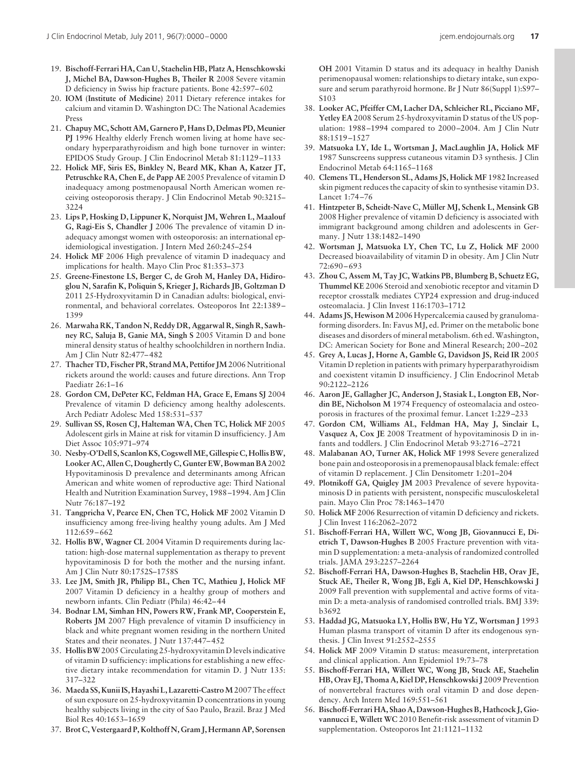- 19. **Bischoff-Ferrari HA, Can U, Staehelin HB, Platz A, Henschkowski J, Michel BA, Dawson-Hughes B, Theiler R** 2008 Severe vitamin D deficiency in Swiss hip fracture patients. Bone 42:597– 602
- 20. **IOM (Institute of Medicine)** 2011 Dietary reference intakes for calcium and vitamin D. Washington DC: The National Academies Press
- 21. Chapuy MC, Schott AM, Garnero P, Hans D, Delmas PD, Meunier **PJ** 1996 Healthy elderly French women living at home have secondary hyperparathyroidism and high bone turnover in winter: EPIDOS Study Group. J Clin Endocrinol Metab 81:1129 –1133
- 22. **Holick MF, Siris ES, Binkley N, Beard MK, Khan A, Katzer JT, Petruschke RA, Chen E, de Papp AE** 2005 Prevalence of vitamin D inadequacy among postmenopausal North American women receiving osteoporosis therapy. J Clin Endocrinol Metab 90:3215– 3224
- 23. **Lips P, Hosking D, Lippuner K, Norquist JM, Wehren L, Maalouf G, Ragi-Eis S, Chandler J** 2006 The prevalence of vitamin D inadequacy amongst women with osteoporosis: an international epidemiological investigation. J Intern Med 260:245–254
- 24. **Holick MF** 2006 High prevalence of vitamin D inadequacy and implications for health. Mayo Clin Proc 81:353–373
- 25. **Greene-Finestone LS, Berger C, de Groh M, Hanley DA, Hidiroglou N, Sarafin K, Poliquin S, Krieger J, Richards JB, Goltzman D** 2011 25-Hydroxyvitamin D in Canadian adults: biological, environmental, and behavioral correlates. Osteoporos Int 22:1389 – 1399
- 26. **Marwaha RK, Tandon N, Reddy DR, Aggarwal R, Singh R, Sawhney RC, Saluja B, Ganie MA, Singh S** 2005 Vitamin D and bone mineral density status of healthy schoolchildren in northern India. Am J Clin Nutr 82:477– 482
- 27. **Thacher TD, Fischer PR, StrandMA, Pettifor JM**2006 Nutritional rickets around the world: causes and future directions. Ann Trop Paediatr 26:1–16
- 28. **Gordon CM, DePeter KC, Feldman HA, Grace E, Emans SJ** 2004 Prevalence of vitamin D deficiency among healthy adolescents. Arch Pediatr Adolesc Med 158:531–537
- 29. **Sullivan SS, Rosen CJ, Halteman WA, Chen TC, Holick MF** 2005 Adolescent girls in Maine at risk for vitamin D insufficiency. J Am Diet Assoc 105:971–974
- 30. **Nesby-O'Dell S, Scanlon KS, CogswellME, Gillespie C, Hollis BW, Looker AC, Allen C, Doughertly C, Gunter EW, Bowman BA** 2002 Hypovitaminosis D prevalence and determinants among African American and white women of reproductive age: Third National Health and Nutrition Examination Survey, 1988 –1994. Am J Clin Nutr 76:187–192
- 31. **Tangpricha V, Pearce EN, Chen TC, Holick MF** 2002 Vitamin D insufficiency among free-living healthy young adults. Am J Med 112:659 – 662
- 32. **Hollis BW, Wagner CL** 2004 Vitamin D requirements during lactation: high-dose maternal supplementation as therapy to prevent hypovitaminosis D for both the mother and the nursing infant. Am J Clin Nutr 80:1752S–1758S
- 33. **Lee JM, Smith JR, Philipp BL, Chen TC, Mathieu J, Holick MF** 2007 Vitamin D deficiency in a healthy group of mothers and newborn infants. Clin Pediatr (Phila) 46:42– 44
- 34. **Bodnar LM, Simhan HN, Powers RW, Frank MP, Cooperstein E, Roberts JM** 2007 High prevalence of vitamin D insufficiency in black and white pregnant women residing in the northern United States and their neonates. J Nutr 137:447– 452
- 35. **Hollis BW**2005 Circulating 25-hydroxyvitamin D levels indicative of vitamin D sufficiency: implications for establishing a new effective dietary intake recommendation for vitamin D. J Nutr 135: 317–322
- 36. **Maeda SS, Kunii IS, Hayashi L, Lazaretti-CastroM**2007 The effect of sun exposure on 25-hydroxyvitamin D concentrations in young healthy subjects living in the city of Sao Paulo, Brazil. Braz J Med Biol Res 40:1653–1659
- 37. **Brot C, Vestergaard P, Kolthoff N, Gram J, Hermann AP, Sorensen**

**OH** 2001 Vitamin D status and its adequacy in healthy Danish perimenopausal women: relationships to dietary intake, sun exposure and serum parathyroid hormone. Br J Nutr 86(Suppl 1):S97– S103

- 38. **Looker AC, Pfeiffer CM, Lacher DA, Schleicher RL, Picciano MF, Yetley EA** 2008 Serum 25-hydroxyvitamin D status of the US population: 1988 –1994 compared to 2000 –2004. Am J Clin Nutr 88:1519 –1527
- 39. **Matsuoka LY, Ide L, Wortsman J, MacLaughlin JA, Holick MF** 1987 Sunscreens suppress cutaneous vitamin D3 synthesis. J Clin Endocrinol Metab 64:1165–1168
- 40. **Clemens TL, Henderson SL, Adams JS, Holick MF** 1982 Increased skin pigment reduces the capacity of skin to synthesise vitamin D3. Lancet 1:74 –76
- 41. Hintzpeter B, Scheidt-Nave C, Müller MJ, Schenk L, Mensink GB 2008 Higher prevalence of vitamin D deficiency is associated with immigrant background among children and adolescents in Germany. J Nutr 138:1482–1490
- 42. **Wortsman J, Matsuoka LY, Chen TC, Lu Z, Holick MF** 2000 Decreased bioavailability of vitamin D in obesity. Am J Clin Nutr 72:690 – 693
- 43. **Zhou C, Assem M, Tay JC, Watkins PB, Blumberg B, Schuetz EG, Thummel KE** 2006 Steroid and xenobiotic receptor and vitamin D receptor crosstalk mediates CYP24 expression and drug-induced osteomalacia. J Clin Invest 116:1703–1712
- 44. **Adams JS, Hewison M** 2006 Hypercalcemia caused by granulomaforming disorders. In: Favus MJ, ed. Primer on the metabolic bone diseases and disorders of mineral metabolism. 6th ed. Washington, DC: American Society for Bone and Mineral Research; 200 –202
- 45. **Grey A, Lucas J, Horne A, Gamble G, Davidson JS, Reid IR** 2005 Vitamin D repletion in patients with primary hyperparathyroidism and coexistent vitamin D insufficiency. J Clin Endocrinol Metab 90:2122–2126
- 46. **Aaron JE, Gallagher JC, Anderson J, Stasiak L, Longton EB, Nordin BE, Nicholson M** 1974 Frequency of osteomalacia and osteoporosis in fractures of the proximal femur. Lancet 1:229 –233
- 47. **Gordon CM, Williams AL, Feldman HA, May J, Sinclair L, Vasquez A, Cox JE** 2008 Treatment of hypovitaminosis D in infants and toddlers. J Clin Endocrinol Metab 93:2716 –2721
- 48. **Malabanan AO, Turner AK, Holick MF** 1998 Severe generalized bone pain and osteoporosis in a premenopausal black female: effect of vitamin D replacement. J Clin Densitometr 1:201–204
- 49. **Plotnikoff GA, Quigley JM** 2003 Prevalence of severe hypovitaminosis D in patients with persistent, nonspecific musculoskeletal pain. Mayo Clin Proc 78:1463–1470
- 50. **Holick MF** 2006 Resurrection of vitamin D deficiency and rickets. J Clin Invest 116:2062–2072
- 51. **Bischoff-Ferrari HA, Willett WC, Wong JB, Giovannucci E, Dietrich T, Dawson-Hughes B** 2005 Fracture prevention with vitamin D supplementation: a meta-analysis of randomized controlled trials. JAMA 293:2257–2264
- 52. **Bischoff-Ferrari HA, Dawson-Hughes B, Staehelin HB, Orav JE, Stuck AE, Theiler R, Wong JB, Egli A, Kiel DP, Henschkowski J** 2009 Fall prevention with supplemental and active forms of vitamin D: a meta-analysis of randomised controlled trials. BMJ 339: b3692
- 53. **Haddad JG, Matsuoka LY, Hollis BW, Hu YZ, Wortsman J** 1993 Human plasma transport of vitamin D after its endogenous synthesis. J Clin Invest 91:2552–2555
- 54. **Holick MF** 2009 Vitamin D status: measurement, interpretation and clinical application. Ann Epidemiol 19:73–78
- 55. **Bischoff-Ferrari HA, Willett WC, Wong JB, Stuck AE, Staehelin HB, Orav EJ, Thoma A, Kiel DP, Henschkowski J** 2009 Prevention of nonvertebral fractures with oral vitamin D and dose dependency. Arch Intern Med 169:551–561
- 56. **Bischoff-Ferrari HA, Shao A, Dawson-Hughes B, Hathcock J, Giovannucci E, Willett WC** 2010 Benefit-risk assessment of vitamin D supplementation. Osteoporos Int 21:1121–1132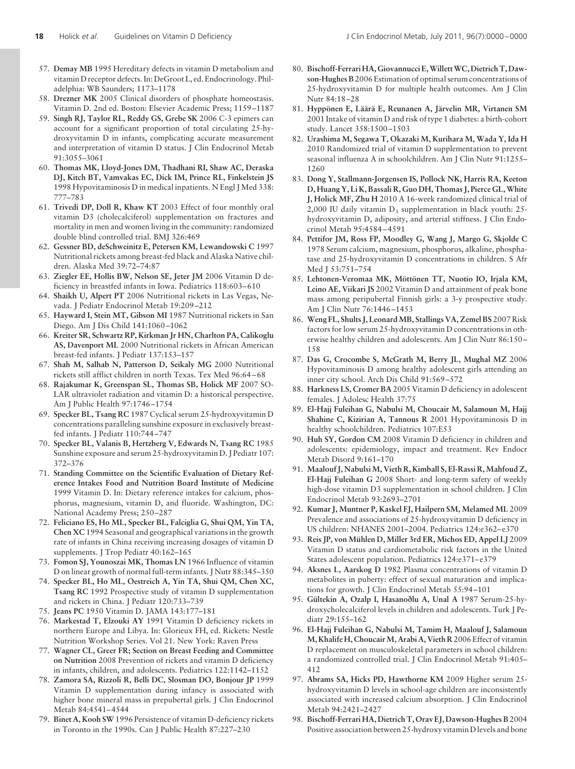- 57. **Demay MB** 1995 Hereditary defects in vitamin D metabolism and vitamin D receptor defects. In: DeGroot L, ed. Endocrinology. Philadelphia: WB Saunders; 1173–1178
- 58. **Drezner MK** 2005 Clinical disorders of phosphate homeostasis. Vitamin D. 2nd ed. Boston: Elsevier Academic Press; 1159 –1187
- 59. **Singh RJ, Taylor RL, Reddy GS, Grebe SK** 2006 C-3 epimers can account for a significant proportion of total circulating 25-hydroxyvitamin D in infants, complicating accurate measurement and interpretation of vitamin D status. J Clin Endocrinol Metab 91:3055–3061
- 60. **Thomas MK, Lloyd-Jones DM, Thadhani RI, Shaw AC, Deraska DJ, Kitch BT, Vamvakas EC, Dick IM, Prince RL, Finkelstein JS** 1998 Hypovitaminosis D in medical inpatients. N Engl J Med 338: 777–783
- 61. **Trivedi DP, Doll R, Khaw KT** 2003 Effect of four monthly oral vitamin D3 (cholecalciferol) supplementation on fractures and mortality in men and women living in the community: randomized double blind controlled trial. BMJ 326:469
- 62. **Gessner BD, deSchweinitz E, Petersen KM, Lewandowski C** 1997 Nutritional rickets among breast-fed black and Alaska Native children. Alaska Med 39:72–74:87
- 63. **Ziegler EE, Hollis BW, Nelson SE, Jeter JM** 2006 Vitamin D deficiency in breastfed infants in Iowa. Pediatrics 118:603-610
- 64. **Shaikh U, Alpert PT** 2006 Nutritional rickets in Las Vegas, Nevada. J Pediatr Endocrinol Metab 19:209 –212
- 65. **Hayward I, Stein MT, Gibson MI** 1987 Nutritional rickets in San Diego. Am J Dis Child 141:1060 –1062
- 66. **Kreiter SR, Schwartz RP, Kirkman Jr HN, Charlton PA, Calikoglu AS, Davenport ML** 2000 Nutritional rickets in African American breast-fed infants. J Pediatr 137:153–157
- 67. **Shah M, Salhab N, Patterson D, Seikaly MG** 2000 Nutritional rickets still afflict children in north Texas. Tex Med 96:64 – 68
- 68. **Rajakumar K, Greenspan SL, Thomas SB, Holick MF** 2007 SO-LAR ultraviolet radiation and vitamin D: a historical perspective. Am J Public Health 97:1746 –1754
- 69. **Specker BL, Tsang RC** 1987 Cyclical serum 25-hydroxyvitamin D concentrations paralleling sunshine exposure in exclusively breastfed infants. J Pediatr 110:744 –747
- 70. **Specker BL, Valanis B, Hertzberg V, Edwards N, Tsang RC** 1985 Sunshine exposure and serum 25-hydroxyvitamin D. J Pediatr 107: 372–376
- 71. **Standing Committee on the Scientific Evaluation of Dietary Reference Intakes Food and Nutrition Board Institute of Medicine** 1999 Vitamin D. In: Dietary reference intakes for calcium, phosphorus, magnesium, vitamin D, and fluoride. Washington, DC: National Academy Press; 250 –287
- 72. **Feliciano ES, Ho ML, Specker BL, Falciglia G, Shui QM, Yin TA, Chen XC** 1994 Seasonal and geographical variations in the growth rate of infants in China receiving increasing dosages of vitamin D supplements. J Trop Pediatr 40:162–165
- 73. **Fomon SJ, Younoszai MK, Thomas LN** 1966 Influence of vitamin D on linear growth of normal full-term infants. J Nutr 88:345–350
- 74. **Specker BL, Ho ML, Oestreich A, Yin TA, Shui QM, Chen XC, Tsang RC** 1992 Prospective study of vitamin D supplementation and rickets in China. J Pediatr 120:733–739
- 75. **Jeans PC** 1950 Vitamin D. JAMA 143:177–181
- 76. **Markestad T, Elzouki AY** 1991 Vitamin D deficiency rickets in northern Europe and Libya. In: Glorieux FH, ed. Rickets: Nestle Nutrition Workshop Series. Vol 21. New York: Raven Press
- 77. **Wagner CL, Greer FR; Section on Breast Feeding and Committee on Nutrition** 2008 Prevention of rickets and vitamin D deficiency in infants, children, and adolescents. Pediatrics 122:1142–1152
- 78. **Zamora SA, Rizzoli R, Belli DC, Slosman DO, Bonjour JP** 1999 Vitamin D supplementation during infancy is associated with higher bone mineral mass in prepubertal girls. J Clin Endocrinol Metab 84:4541– 4544
- 79. **Binet A, Kooh SW** 1996 Persistence of vitamin D-deficiency rickets in Toronto in the 1990s. Can J Public Health 87:227–230
- 80. **Bischoff-Ferrari HA, Giovannucci E,WillettWC, Dietrich T, Dawson-Hughes B**2006 Estimation of optimal serum concentrations of 25-hydroxyvitamin D for multiple health outcomes. Am J Clin Nutr 84:18 –28
- 81. Hyppönen E, Läärä E, Reunanen A, Järvelin MR, Virtanen SM 2001 Intake of vitamin D and risk of type 1 diabetes: a birth-cohort study. Lancet 358:1500 –1503
- 82. **Urashima M, Segawa T, Okazaki M, Kurihara M, Wada Y, Ida H** 2010 Randomized trial of vitamin D supplementation to prevent seasonal influenza A in schoolchildren. Am J Clin Nutr 91:1255– 1260
- 83. **Dong Y, Stallmann-Jorgensen IS, Pollock NK, Harris RA, Keeton D, Huang Y, Li K, Bassali R, Guo DH, Thomas J, Pierce GL, White J, Holick MF, Zhu H** 2010 A 16-week randomized clinical trial of 2,000 IU daily vitamin  $D_3$  supplementation in black youth: 25hydroxyvitamin D, adiposity, and arterial stiffness. J Clin Endocrinol Metab 95:4584 – 4591
- 84. **Pettifor JM, Ross FP, Moodley G, Wang J, Margo G, Skjolde C** 1978 Serum calcium, magnesium, phosphorus, alkaline, phosphatase and 25-hydroxyvitamin D concentrations in children. S Afr Med J 53:751–754
- 85. Lehtonen-Veromaa MK, Möttönen TT, Nuotio IO, Irjala KM, **Leino AE, Viikari JS** 2002 Vitamin D and attainment of peak bone mass among peripubertal Finnish girls: a 3-y prospective study. Am J Clin Nutr 76:1446 –1453
- 86. **Weng FL, Shults J, LeonardMB, Stallings VA, Zemel BS** 2007 Risk factors for low serum 25-hydroxyvitamin D concentrations in otherwise healthy children and adolescents. Am J Clin Nutr 86:150 – 158
- 87. **Das G, Crocombe S, McGrath M, Berry JL, Mughal MZ** 2006 Hypovitaminosis D among healthy adolescent girls attending an inner city school. Arch Dis Child 91:569 –572
- 88. **Harkness LS, Cromer BA** 2005 Vitamin D deficiency in adolescent females. J Adolesc Health 37:75
- 89. **El-Hajj Fuleihan G, Nabulsi M, Choucair M, Salamoun M, Hajj Shahine C, Kizirian A, Tannous R** 2001 Hypovitaminosis D in healthy schoolchildren. Pediatrics 107:E53
- 90. **Huh SY, Gordon CM** 2008 Vitamin D deficiency in children and adolescents: epidemiology, impact and treatment. Rev Endocr Metab Disord 9:161–170
- 91. **Maalouf J, NabulsiM, Vieth R, Kimball S, El-Rassi R,Mahfoud Z, El-Hajj Fuleihan G** 2008 Short- and long-term safety of weekly high-dose vitamin D3 supplementation in school children. J Clin Endocrinol Metab 93:2693–2701
- 92. **Kumar J, Muntner P, Kaskel FJ, Hailpern SM, Melamed ML** 2009 Prevalence and associations of 25-hydroxyvitamin D deficiency in US children: NHANES 2001–2004. Pediatrics 124:e362– e370
- 93. Reis JP, von Mühlen D, Miller 3rd ER, Michos ED, Appel LJ 2009 Vitamin D status and cardiometabolic risk factors in the United States adolescent population. Pediatrics 124:e371-e379
- 94. **Aksnes L, Aarskog D** 1982 Plasma concentrations of vitamin D metabolites in puberty: effect of sexual maturation and implications for growth. J Clin Endocrinol Metab 55:94 –101
- 95. Gültekin A, Ozalp I, Hasanoðlu A, Unal A 1987 Serum-25-hydroxycholecalciferol levels in children and adolescents. Turk J Pediatr 29:155–162
- 96. **El-Hajj Fuleihan G, Nabulsi M, Tamim H, Maalouf J, Salamoun M, Khalife H, ChoucairM, Arabi A, Vieth R** 2006 Effect of vitamin D replacement on musculoskeletal parameters in school children: a randomized controlled trial. J Clin Endocrinol Metab 91:405– 412
- 97. **Abrams SA, Hicks PD, Hawthorne KM** 2009 Higher serum 25 hydroxyvitamin D levels in school-age children are inconsistently associated with increased calcium absorption. J Clin Endocrinol Metab 94:2421–2427
- 98. **Bischoff-Ferrari HA, Dietrich T, Orav EJ, Dawson-Hughes B**2004 Positive association between 25-hydroxy vitamin D levels and bone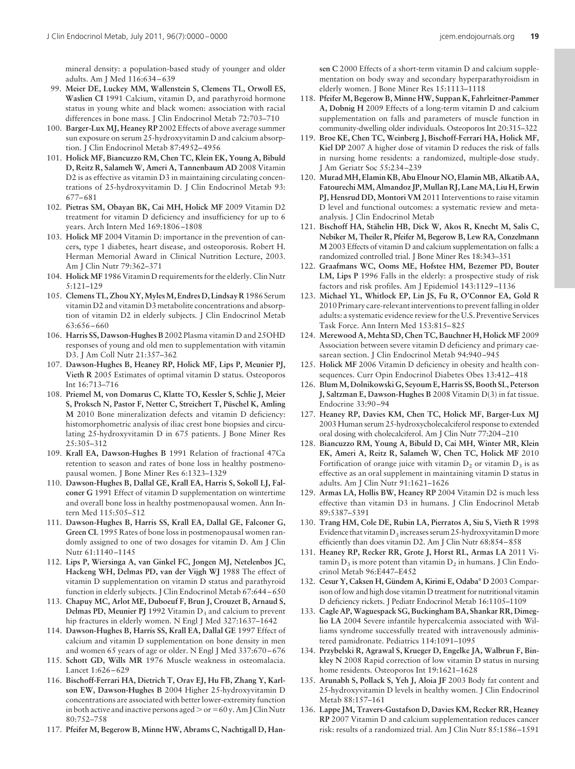mineral density: a population-based study of younger and older adults. Am J Med 116:634 – 639

- 99. **Meier DE, Luckey MM, Wallenstein S, Clemens TL, Orwoll ES, Waslien CI** 1991 Calcium, vitamin D, and parathyroid hormone status in young white and black women: association with racial differences in bone mass. J Clin Endocrinol Metab 72:703–710
- 100. **Barger-LuxMJ, Heaney RP** 2002 Effects of above average summer sun exposure on serum 25-hydroxyvitamin D and calcium absorption. J Clin Endocrinol Metab 87:4952– 4956
- 101. **Holick MF, Biancuzzo RM, Chen TC, Klein EK, Young A, Bibuld D, Reitz R, Salameh W, Ameri A, Tannenbaum AD** 2008 Vitamin D2 is as effective as vitamin D3 in maintaining circulating concentrations of 25-hydroxyvitamin D. J Clin Endocrinol Metab 93: 677– 681
- 102. **Pietras SM, Obayan BK, Cai MH, Holick MF** 2009 Vitamin D2 treatment for vitamin D deficiency and insufficiency for up to 6 years. Arch Intern Med 169:1806 –1808
- 103. **Holick MF** 2004 Vitamin D: importance in the prevention of cancers, type 1 diabetes, heart disease, and osteoporosis. Robert H. Herman Memorial Award in Clinical Nutrition Lecture, 2003. Am J Clin Nutr 79:362–371
- 104. **HolickMF** 1986 Vitamin D requirements for the elderly. Clin Nutr 5:121–129
- 105. **Clemens TL, Zhou XY,MylesM, Endres D, Lindsay R**1986 Serum vitamin D2 and vitamin D3 metabolite concentrations and absorption of vitamin D2 in elderly subjects. J Clin Endocrinol Metab 63:656 – 660
- 106. **Harris SS, Dawson-Hughes B** 2002 Plasma vitamin D and 25OHD responses of young and old men to supplementation with vitamin D3. J Am Coll Nutr 21:357–362
- 107. **Dawson-Hughes B, Heaney RP, Holick MF, Lips P, Meunier PJ, Vieth R** 2005 Estimates of optimal vitamin D status. Osteoporos Int 16:713–716
- 108. **Priemel M, von Domarus C, Klatte TO, Kessler S, Schlie J, Meier** S, Proksch N, Pastor F, Netter C, Streichert T, Püschel K, Amling **M** 2010 Bone mineralization defects and vitamin D deficiency: histomorphometric analysis of iliac crest bone biopsies and circulating 25-hydroxyvitamin D in 675 patients. J Bone Miner Res 25:305–312
- 109. **Krall EA, Dawson-Hughes B** 1991 Relation of fractional 47Ca retention to season and rates of bone loss in healthy postmenopausal women. J Bone Miner Res 6:1323–1329
- 110. **Dawson-Hughes B, Dallal GE, Krall EA, Harris S, Sokoll LJ, Falconer G** 1991 Effect of vitamin D supplementation on wintertime and overall bone loss in healthy postmenopausal women. Ann Intern Med 115:505–512
- 111. **Dawson-Hughes B, Harris SS, Krall EA, Dallal GE, Falconer G, Green CL** 1995 Rates of bone loss in postmenopausal women randomly assigned to one of two dosages for vitamin D. Am J Clin Nutr 61:1140-1145
- 112. **Lips P, Wiersinga A, van Ginkel FC, Jongen MJ, Netelenbos JC, Hackeng WH, Delmas PD, van der Vijgh WJ** 1988 The effect of vitamin D supplementation on vitamin D status and parathyroid function in elderly subjects. J Clin Endocrinol Metab 67:644 – 650
- 113. **Chapuy MC, Arlot ME, Duboeuf F, Brun J, Crouzet B, Arnaud S, Delmas PD, Meunier PJ** 1992 Vitamin  $D_3$  and calcium to prevent hip fractures in elderly women. N Engl J Med 327:1637–1642
- 114. **Dawson-Hughes B, Harris SS, Krall EA, Dallal GE** 1997 Effect of calcium and vitamin D supplementation on bone density in men and women 65 years of age or older. N Engl J Med 337:670 – 676
- 115. **Schott GD, Wills MR** 1976 Muscle weakness in osteomalacia. Lancet 1:626 – 629
- 116. **Bischoff-Ferrari HA, Dietrich T, Orav EJ, Hu FB, Zhang Y, Karlson EW, Dawson-Hughes B** 2004 Higher 25-hydroxyvitamin D concentrations are associated with better lower-extremity function in both active and inactive persons aged  $>$  or = 60 y. Am J Clin Nutr 80:752–758
- 117. **Pfeifer M, Begerow B, Minne HW, Abrams C, Nachtigall D, Han-**

**sen C** 2000 Effects of a short-term vitamin D and calcium supplementation on body sway and secondary hyperparathyroidism in elderly women. J Bone Miner Res 15:1113–1118

- 118. **Pfeifer M, Begerow B, Minne HW, Suppan K, Fahrleitner-Pammer A, Dobnig H** 2009 Effects of a long-term vitamin D and calcium supplementation on falls and parameters of muscle function in community-dwelling older individuals. Osteoporos Int 20:315–322
- 119. **Broe KE, Chen TC, Weinberg J, Bischoff-Ferrari HA, Holick MF, Kiel DP** 2007 A higher dose of vitamin D reduces the risk of falls in nursing home residents: a randomized, multiple-dose study. J Am Geriatr Soc 55:234 –239
- 120. **MuradMH, Elamin KB, Abu Elnour NO, ElaminMB, Alkatib AA, FatourechiMM, Almandoz JP,Mullan RJ, LaneMA, Liu H, Erwin PJ, Hensrud DD, Montori VM** 2011 Interventions to raise vitamin D level and functional outcomes: a systematic review and metaanalysis. J Clin Endocrinol Metab
- 121. Bischoff HA, Stähelin HB, Dick W, Akos R, Knecht M, Salis C, **Nebiker M, Theiler R, Pfeifer M, Begerow B, Lew RA, Conzelmann M** 2003 Effects of vitamin D and calcium supplementation on falls: a randomized controlled trial. J Bone Miner Res 18:343–351
- 122. **Graafmans WC, Ooms ME, Hofstee HM, Bezemer PD, Bouter LM, Lips P** 1996 Falls in the elderly: a prospective study of risk factors and risk profiles. Am J Epidemiol 143:1129 –1136
- 123. **Michael YL, Whitlock EP, Lin JS, Fu R, O'Connor EA, Gold R** 2010 Primary care-relevant interventions to prevent falling in older adults: a systematic evidence review for the U.S. Preventive Services Task Force. Ann Intern Med 153:815– 825
- 124. **Merewood A, Mehta SD, Chen TC, Bauchner H, Holick MF** 2009 Association between severe vitamin D deficiency and primary caesarean section. J Clin Endocrinol Metab 94:940 –945
- 125. **Holick MF** 2006 Vitamin D deficiency in obesity and health consequences. Curr Opin Endocrinol Diabetes Obes 13:412– 418
- 126. **BlumM, Dolnikowski G, Seyoum E, Harris SS, Booth SL, Peterson J, Saltzman E, Dawson-Hughes B** 2008 Vitamin D(3) in fat tissue. Endocrine 33:90 –94
- 127. **Heaney RP, Davies KM, Chen TC, Holick MF, Barger-Lux MJ** 2003 Human serum 25-hydroxycholecalciferol response to extended oral dosing with cholecalciferol. Am J Clin Nutr 77:204 –210
- 128. **Biancuzzo RM, Young A, Bibuld D, Cai MH, Winter MR, Klein EK, Ameri A, Reitz R, Salameh W, Chen TC, Holick MF** 2010 Fortification of orange juice with vitamin  $D_2$  or vitamin  $D_3$  is as effective as an oral supplement in maintaining vitamin D status in adults. Am J Clin Nutr 91:1621–1626
- 129. **Armas LA, Hollis BW, Heaney RP** 2004 Vitamin D2 is much less effective than vitamin D3 in humans. J Clin Endocrinol Metab 89:5387–5391
- 130. **Trang HM, Cole DE, Rubin LA, Pierratos A, Siu S, Vieth R** 1998 Evidence that vitamin  $D_3$  increases serum 25-hydroxyvitamin D more efficiently than does vitamin D2. Am J Clin Nutr 68:854 –858
- 131. **Heaney RP, Recker RR, Grote J, Horst RL, Armas LA** 2011 Vitamin  $D_3$  is more potent than vitamin  $D_2$  in humans. J Clin Endocrinol Metab 96:E447–E452
- 132. Cesur Y, Caksen H, Gündem A, Kirimi E, Odaba° D 2003 Comparison of low and high dose vitamin D treatment for nutritional vitamin D deficiency rickets. J Pediatr Endocrinol Metab 16:1105–1109
- 133. **Cagle AP, Waguespack SG, Buckingham BA, Shankar RR, Dimeglio LA** 2004 Severe infantile hypercalcemia associated with Williams syndrome successfully treated with intravenously administered pamidronate. Pediatrics 114:1091–1095
- 134. **Przybelski R, Agrawal S, Krueger D, Engelke JA, Walbrun F, Binkley N** 2008 Rapid correction of low vitamin D status in nursing home residents. Osteoporos Int 19:1621–1628
- 135. **Arunabh S, Pollack S, Yeh J, Aloia JF** 2003 Body fat content and 25-hydroxyvitamin D levels in healthy women. J Clin Endocrinol Metab 88:157–161
- 136. **Lappe JM, Travers-Gustafson D, Davies KM, Recker RR, Heaney RP** 2007 Vitamin D and calcium supplementation reduces cancer risk: results of a randomized trial. Am J Clin Nutr 85:1586 –1591